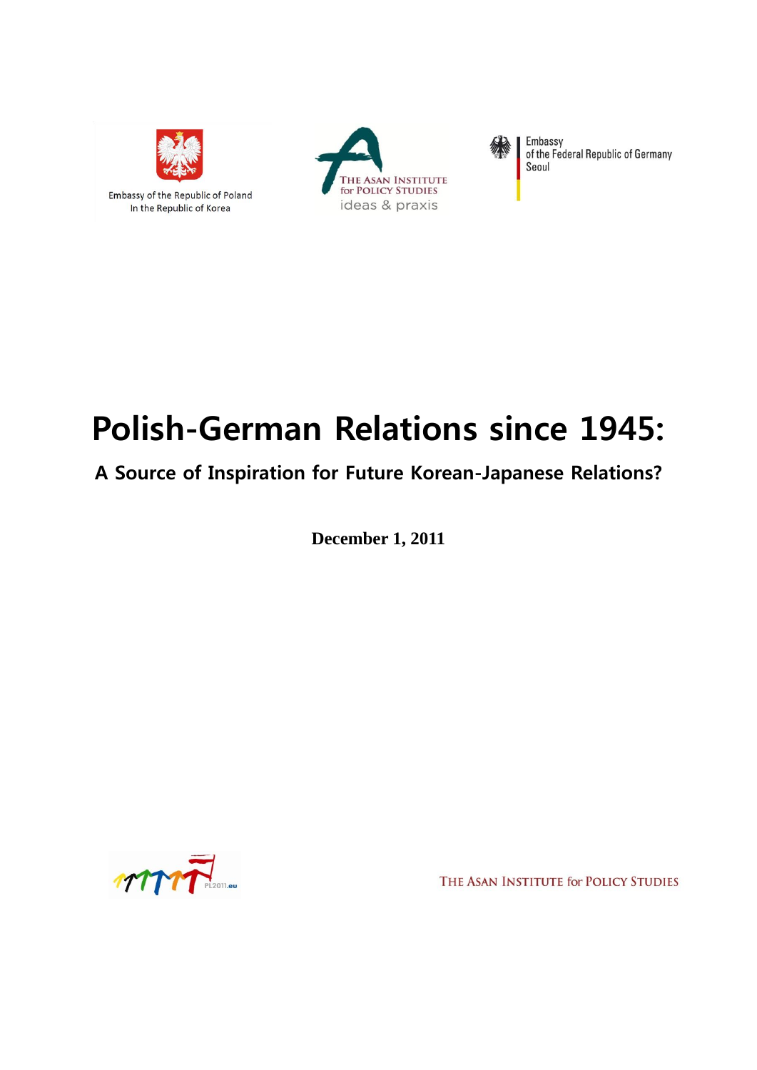

# Polish-German Relations since 1945:

# A Source of Inspiration for Future Korean-Japanese Relations?

**December 1, 2011**



THE ASAN INSTITUTE for POLICY STUDIES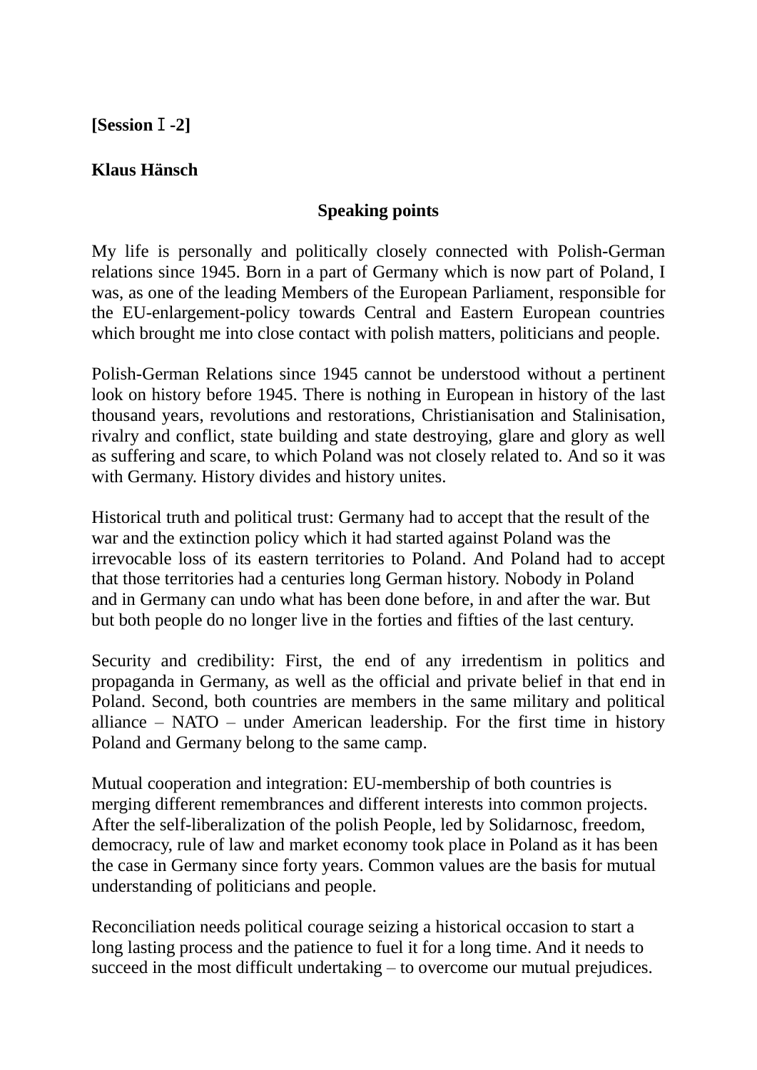# **[Session**Ⅰ**-2]**

# **Klaus Hänsch**

# **Speaking points**

My life is personally and politically closely connected with Polish-German relations since 1945. Born in a part of Germany which is now part of Poland, I was, as one of the leading Members of the European Parliament, responsible for the EU-enlargement-policy towards Central and Eastern European countries which brought me into close contact with polish matters, politicians and people.

Polish-German Relations since 1945 cannot be understood without a pertinent look on history before 1945. There is nothing in European in history of the last thousand years, revolutions and restorations, Christianisation and Stalinisation, rivalry and conflict, state building and state destroying, glare and glory as well as suffering and scare, to which Poland was not closely related to. And so it was with Germany. History divides and history unites.

Historical truth and political trust: Germany had to accept that the result of the war and the extinction policy which it had started against Poland was the irrevocable loss of its eastern territories to Poland. And Poland had to accept that those territories had a centuries long German history. Nobody in Poland and in Germany can undo what has been done before, in and after the war. But but both people do no longer live in the forties and fifties of the last century.

Security and credibility: First, the end of any irredentism in politics and propaganda in Germany, as well as the official and private belief in that end in Poland. Second, both countries are members in the same military and political alliance – NATO – under American leadership. For the first time in history Poland and Germany belong to the same camp.

Mutual cooperation and integration: EU-membership of both countries is merging different remembrances and different interests into common projects. After the self-liberalization of the polish People, led by Solidarnosc, freedom, democracy, rule of law and market economy took place in Poland as it has been the case in Germany since forty years. Common values are the basis for mutual understanding of politicians and people.

Reconciliation needs political courage seizing a historical occasion to start a long lasting process and the patience to fuel it for a long time. And it needs to succeed in the most difficult undertaking – to overcome our mutual prejudices.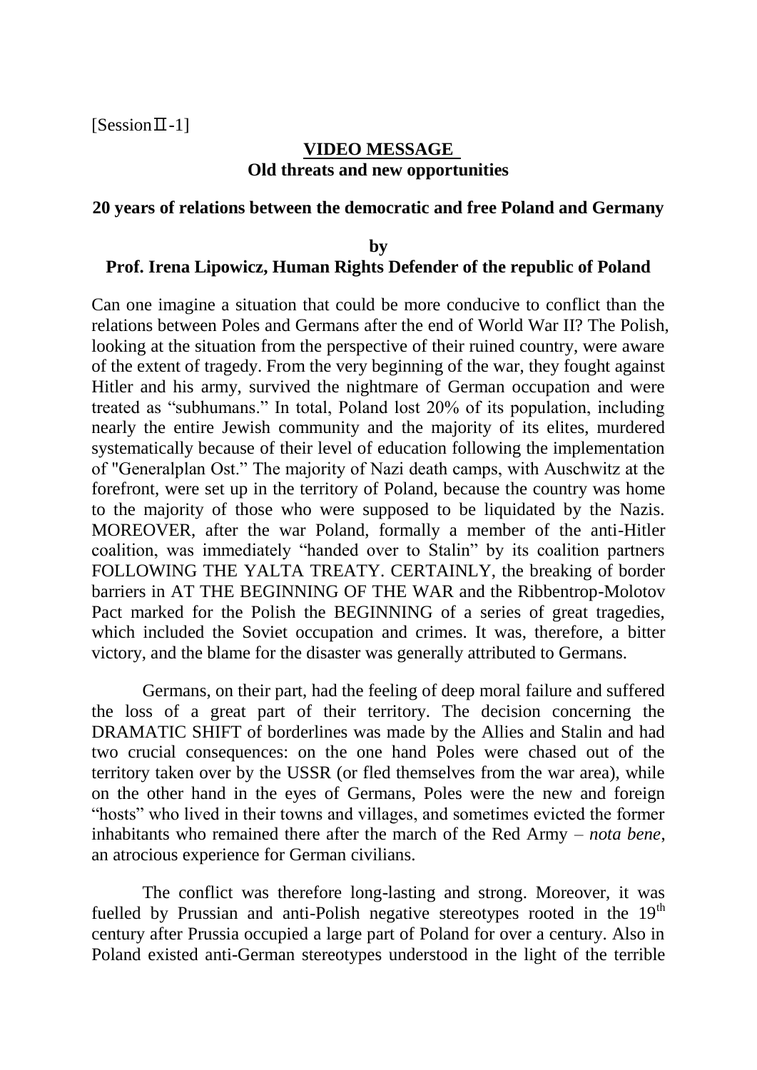$[Session II-1]$ 

### **VIDEO MESSAGE Old threats and new opportunities**

#### **20 years of relations between the democratic and free Poland and Germany**

#### **by Prof. Irena Lipowicz, Human Rights Defender of the republic of Poland**

Can one imagine a situation that could be more conducive to conflict than the relations between Poles and Germans after the end of World War II? The Polish, looking at the situation from the perspective of their ruined country, were aware of the extent of tragedy. From the very beginning of the war, they fought against Hitler and his army, survived the nightmare of German occupation and were treated as "subhumans." In total, Poland lost 20% of its population, including nearly the entire Jewish community and the majority of its elites, murdered systematically because of their level of education following the implementation of "Generalplan Ost." The majority of Nazi death camps, with Auschwitz at the forefront, were set up in the territory of Poland, because the country was home to the majority of those who were supposed to be liquidated by the Nazis. MOREOVER, after the war Poland, formally a member of the anti-Hitler coalition, was immediately "handed over to Stalin" by its coalition partners FOLLOWING THE YALTA TREATY. CERTAINLY, the breaking of border barriers in AT THE BEGINNING OF THE WAR and the Ribbentrop-Molotov Pact marked for the Polish the BEGINNING of a series of great tragedies, which included the Soviet occupation and crimes. It was, therefore, a bitter victory, and the blame for the disaster was generally attributed to Germans.

Germans, on their part, had the feeling of deep moral failure and suffered the loss of a great part of their territory. The decision concerning the DRAMATIC SHIFT of borderlines was made by the Allies and Stalin and had two crucial consequences: on the one hand Poles were chased out of the territory taken over by the USSR (or fled themselves from the war area), while on the other hand in the eyes of Germans, Poles were the new and foreign "hosts" who lived in their towns and villages, and sometimes evicted the former inhabitants who remained there after the march of the Red Army – *nota bene*, an atrocious experience for German civilians.

The conflict was therefore long-lasting and strong. Moreover, it was fuelled by Prussian and anti-Polish negative stereotypes rooted in the 19<sup>th</sup> century after Prussia occupied a large part of Poland for over a century. Also in Poland existed anti-German stereotypes understood in the light of the terrible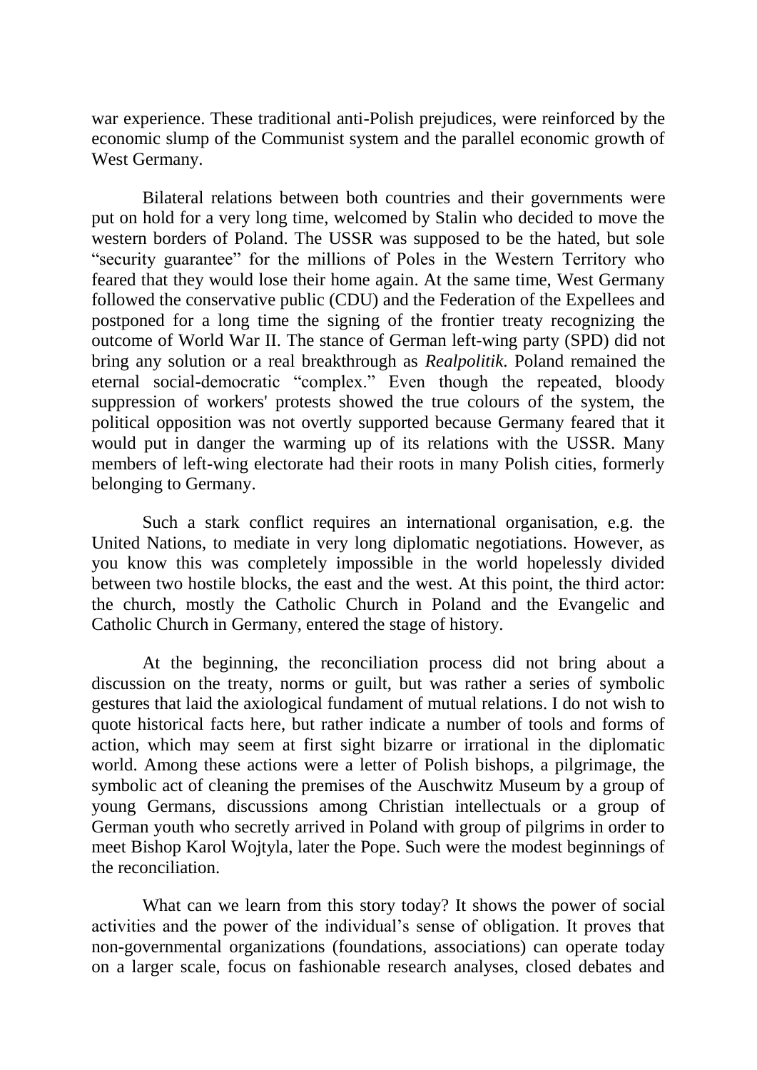war experience. These traditional anti-Polish prejudices, were reinforced by the economic slump of the Communist system and the parallel economic growth of West Germany.

Bilateral relations between both countries and their governments were put on hold for a very long time, welcomed by Stalin who decided to move the western borders of Poland. The USSR was supposed to be the hated, but sole "security guarantee" for the millions of Poles in the Western Territory who feared that they would lose their home again. At the same time, West Germany followed the conservative public (CDU) and the Federation of the Expellees and postponed for a long time the signing of the frontier treaty recognizing the outcome of World War II. The stance of German left-wing party (SPD) did not bring any solution or a real breakthrough as *Realpolitik*. Poland remained the eternal social-democratic "complex." Even though the repeated, bloody suppression of workers' protests showed the true colours of the system, the political opposition was not overtly supported because Germany feared that it would put in danger the warming up of its relations with the USSR. Many members of left-wing electorate had their roots in many Polish cities, formerly belonging to Germany.

Such a stark conflict requires an international organisation, e.g. the United Nations, to mediate in very long diplomatic negotiations. However, as you know this was completely impossible in the world hopelessly divided between two hostile blocks, the east and the west. At this point, the third actor: the church, mostly the Catholic Church in Poland and the Evangelic and Catholic Church in Germany, entered the stage of history.

At the beginning, the reconciliation process did not bring about a discussion on the treaty, norms or guilt, but was rather a series of symbolic gestures that laid the axiological fundament of mutual relations. I do not wish to quote historical facts here, but rather indicate a number of tools and forms of action, which may seem at first sight bizarre or irrational in the diplomatic world. Among these actions were a letter of Polish bishops, a pilgrimage, the symbolic act of cleaning the premises of the Auschwitz Museum by a group of young Germans, discussions among Christian intellectuals or a group of German youth who secretly arrived in Poland with group of pilgrims in order to meet Bishop Karol Wojtyla, later the Pope. Such were the modest beginnings of the reconciliation.

What can we learn from this story today? It shows the power of social activities and the power of the individual"s sense of obligation. It proves that non-governmental organizations (foundations, associations) can operate today on a larger scale, focus on fashionable research analyses, closed debates and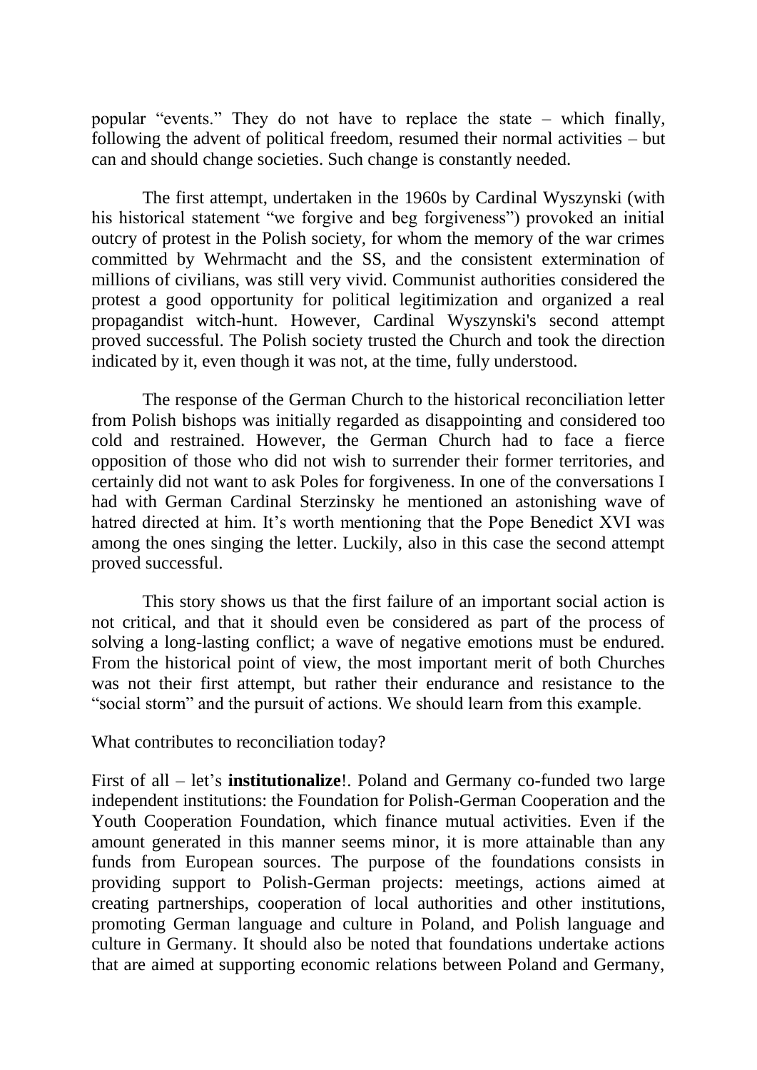popular "events." They do not have to replace the state – which finally, following the advent of political freedom, resumed their normal activities – but can and should change societies. Such change is constantly needed.

The first attempt, undertaken in the 1960s by Cardinal Wyszynski (with his historical statement "we forgive and beg forgiveness") provoked an initial outcry of protest in the Polish society, for whom the memory of the war crimes committed by Wehrmacht and the SS, and the consistent extermination of millions of civilians, was still very vivid. Communist authorities considered the protest a good opportunity for political legitimization and organized a real propagandist witch-hunt. However, Cardinal Wyszynski's second attempt proved successful. The Polish society trusted the Church and took the direction indicated by it, even though it was not, at the time, fully understood.

The response of the German Church to the historical reconciliation letter from Polish bishops was initially regarded as disappointing and considered too cold and restrained. However, the German Church had to face a fierce opposition of those who did not wish to surrender their former territories, and certainly did not want to ask Poles for forgiveness. In one of the conversations I had with German Cardinal Sterzinsky he mentioned an astonishing wave of hatred directed at him. It's worth mentioning that the Pope Benedict XVI was among the ones singing the letter. Luckily, also in this case the second attempt proved successful.

This story shows us that the first failure of an important social action is not critical, and that it should even be considered as part of the process of solving a long-lasting conflict; a wave of negative emotions must be endured. From the historical point of view, the most important merit of both Churches was not their first attempt, but rather their endurance and resistance to the "social storm" and the pursuit of actions. We should learn from this example.

What contributes to reconciliation today?

First of all – let's **institutionalize**!. Poland and Germany co-funded two large independent institutions: the Foundation for Polish-German Cooperation and the Youth Cooperation Foundation, which finance mutual activities. Even if the amount generated in this manner seems minor, it is more attainable than any funds from European sources. The purpose of the foundations consists in providing support to Polish-German projects: meetings, actions aimed at creating partnerships, cooperation of local authorities and other institutions, promoting German language and culture in Poland, and Polish language and culture in Germany. It should also be noted that foundations undertake actions that are aimed at supporting economic relations between Poland and Germany,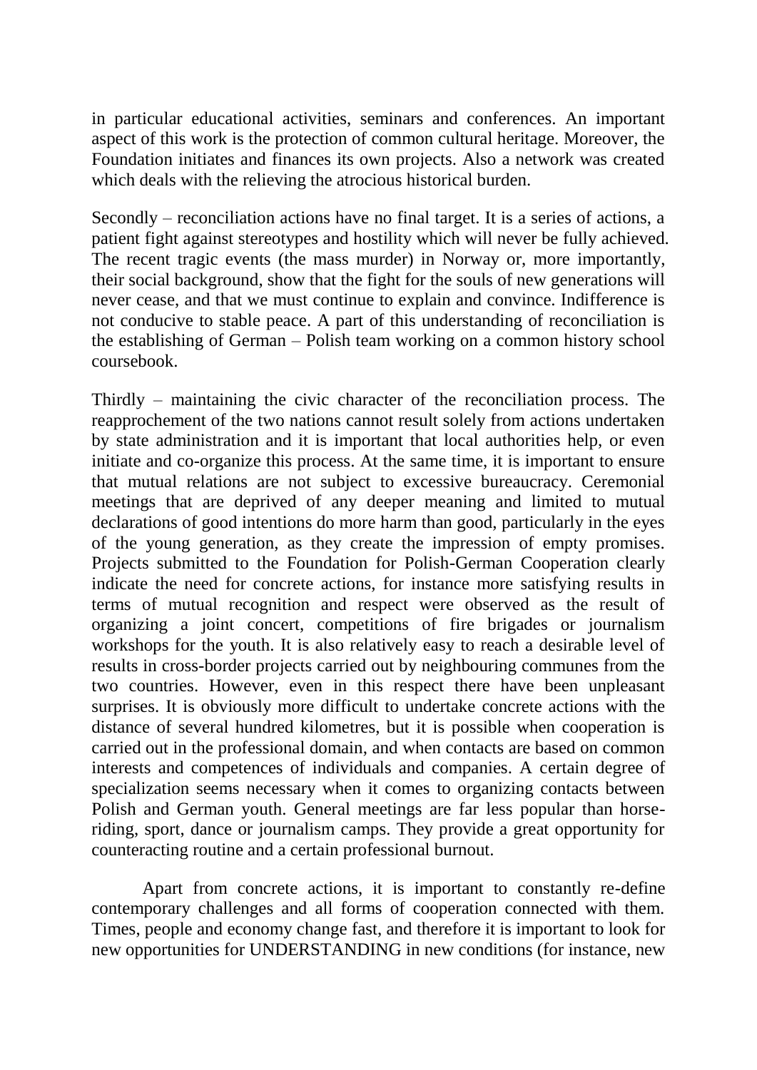in particular educational activities, seminars and conferences. An important aspect of this work is the protection of common cultural heritage. Moreover, the Foundation initiates and finances its own projects. Also a network was created which deals with the relieving the atrocious historical burden.

Secondly – reconciliation actions have no final target. It is a series of actions, a patient fight against stereotypes and hostility which will never be fully achieved. The recent tragic events (the mass murder) in Norway or, more importantly, their social background, show that the fight for the souls of new generations will never cease, and that we must continue to explain and convince. Indifference is not conducive to stable peace. A part of this understanding of reconciliation is the establishing of German – Polish team working on a common history school coursebook.

Thirdly – maintaining the civic character of the reconciliation process. The reapprochement of the two nations cannot result solely from actions undertaken by state administration and it is important that local authorities help, or even initiate and co-organize this process. At the same time, it is important to ensure that mutual relations are not subject to excessive bureaucracy. Ceremonial meetings that are deprived of any deeper meaning and limited to mutual declarations of good intentions do more harm than good, particularly in the eyes of the young generation, as they create the impression of empty promises. Projects submitted to the Foundation for Polish-German Cooperation clearly indicate the need for concrete actions, for instance more satisfying results in terms of mutual recognition and respect were observed as the result of organizing a joint concert, competitions of fire brigades or journalism workshops for the youth. It is also relatively easy to reach a desirable level of results in cross-border projects carried out by neighbouring communes from the two countries. However, even in this respect there have been unpleasant surprises. It is obviously more difficult to undertake concrete actions with the distance of several hundred kilometres, but it is possible when cooperation is carried out in the professional domain, and when contacts are based on common interests and competences of individuals and companies. A certain degree of specialization seems necessary when it comes to organizing contacts between Polish and German youth. General meetings are far less popular than horseriding, sport, dance or journalism camps. They provide a great opportunity for counteracting routine and a certain professional burnout.

Apart from concrete actions, it is important to constantly re-define contemporary challenges and all forms of cooperation connected with them. Times, people and economy change fast, and therefore it is important to look for new opportunities for UNDERSTANDING in new conditions (for instance, new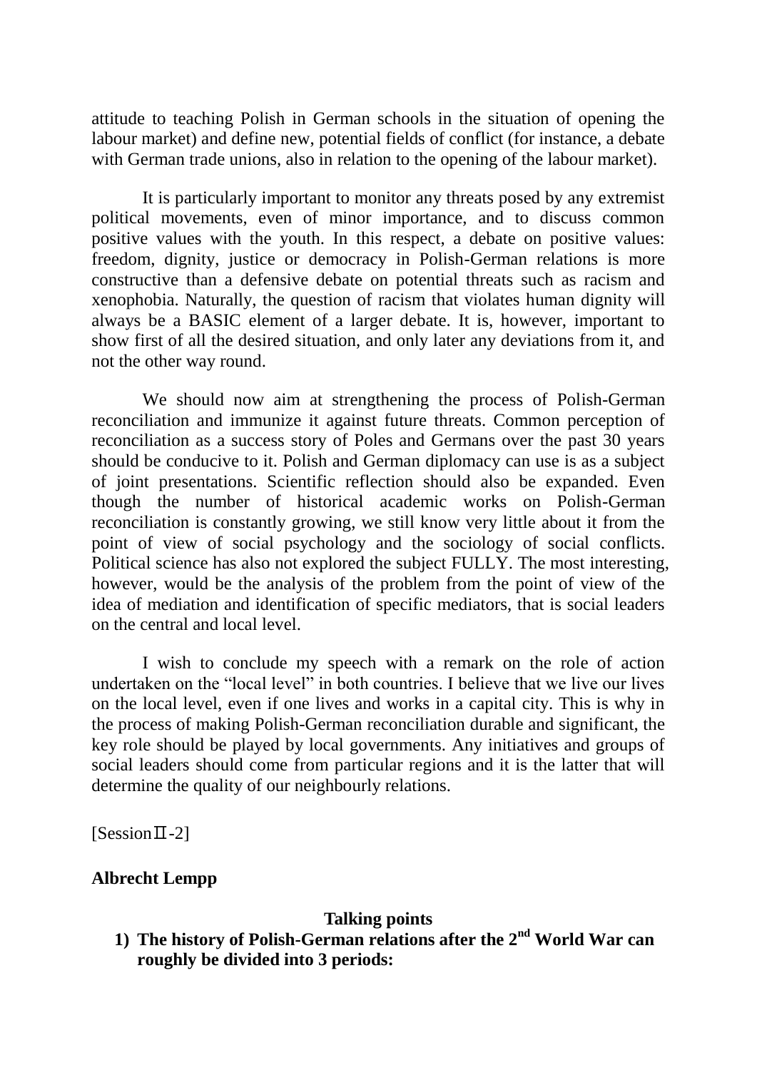attitude to teaching Polish in German schools in the situation of opening the labour market) and define new, potential fields of conflict (for instance, a debate with German trade unions, also in relation to the opening of the labour market).

It is particularly important to monitor any threats posed by any extremist political movements, even of minor importance, and to discuss common positive values with the youth. In this respect, a debate on positive values: freedom, dignity, justice or democracy in Polish-German relations is more constructive than a defensive debate on potential threats such as racism and xenophobia. Naturally, the question of racism that violates human dignity will always be a BASIC element of a larger debate. It is, however, important to show first of all the desired situation, and only later any deviations from it, and not the other way round.

We should now aim at strengthening the process of Polish-German reconciliation and immunize it against future threats. Common perception of reconciliation as a success story of Poles and Germans over the past 30 years should be conducive to it. Polish and German diplomacy can use is as a subject of joint presentations. Scientific reflection should also be expanded. Even though the number of historical academic works on Polish-German reconciliation is constantly growing, we still know very little about it from the point of view of social psychology and the sociology of social conflicts. Political science has also not explored the subject FULLY. The most interesting, however, would be the analysis of the problem from the point of view of the idea of mediation and identification of specific mediators, that is social leaders on the central and local level.

I wish to conclude my speech with a remark on the role of action undertaken on the "local level" in both countries. I believe that we live our lives on the local level, even if one lives and works in a capital city. This is why in the process of making Polish-German reconciliation durable and significant, the key role should be played by local governments. Any initiatives and groups of social leaders should come from particular regions and it is the latter that will determine the quality of our neighbourly relations.

 $[Session II-2]$ 

# **Albrecht Lempp**

#### **Talking points**

**1) The history of Polish-German relations after the 2nd World War can roughly be divided into 3 periods:**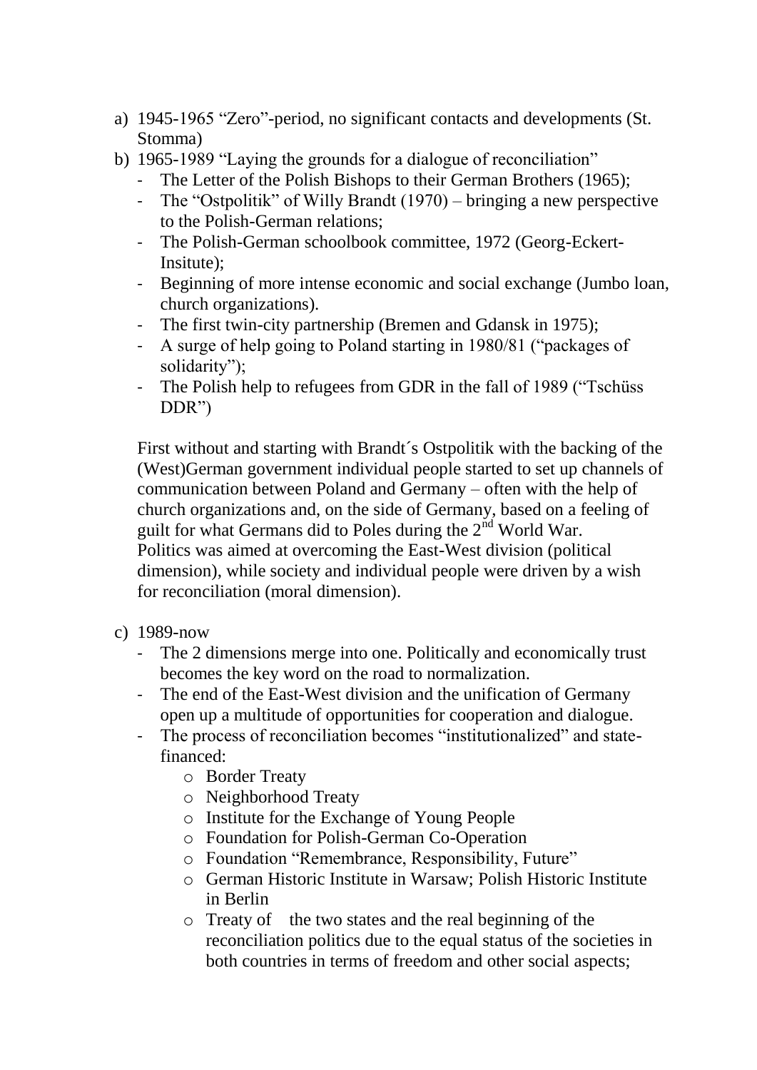- a) 1945-1965 "Zero"-period, no significant contacts and developments (St. Stomma)
- b) 1965-1989 "Laying the grounds for a dialogue of reconciliation"
	- The Letter of the Polish Bishops to their German Brothers (1965);
	- The "Ostpolitik" of Willy Brandt (1970) bringing a new perspective to the Polish-German relations;
	- The Polish-German schoolbook committee, 1972 (Georg-Eckert-Insitute);
	- Beginning of more intense economic and social exchange (Jumbo loan, church organizations).
	- The first twin-city partnership (Bremen and Gdansk in 1975);
	- A surge of help going to Poland starting in 1980/81 ("packages of solidarity");
	- The Polish help to refugees from GDR in the fall of 1989 ("Tschüss DDR")

First without and starting with Brandt´s Ostpolitik with the backing of the (West)German government individual people started to set up channels of communication between Poland and Germany – often with the help of church organizations and, on the side of Germany, based on a feeling of guilt for what Germans did to Poles during the  $2<sup>nd</sup>$  World War. Politics was aimed at overcoming the East-West division (political dimension), while society and individual people were driven by a wish for reconciliation (moral dimension).

- c) 1989-now
	- The 2 dimensions merge into one. Politically and economically trust becomes the key word on the road to normalization.
	- The end of the East-West division and the unification of Germany open up a multitude of opportunities for cooperation and dialogue.
	- The process of reconciliation becomes "institutionalized" and statefinanced:
		- o Border Treaty
		- o Neighborhood Treaty
		- o Institute for the Exchange of Young People
		- o Foundation for Polish-German Co-Operation
		- o Foundation "Remembrance, Responsibility, Future"
		- o German Historic Institute in Warsaw; Polish Historic Institute in Berlin
		- o Treaty of the two states and the real beginning of the reconciliation politics due to the equal status of the societies in both countries in terms of freedom and other social aspects;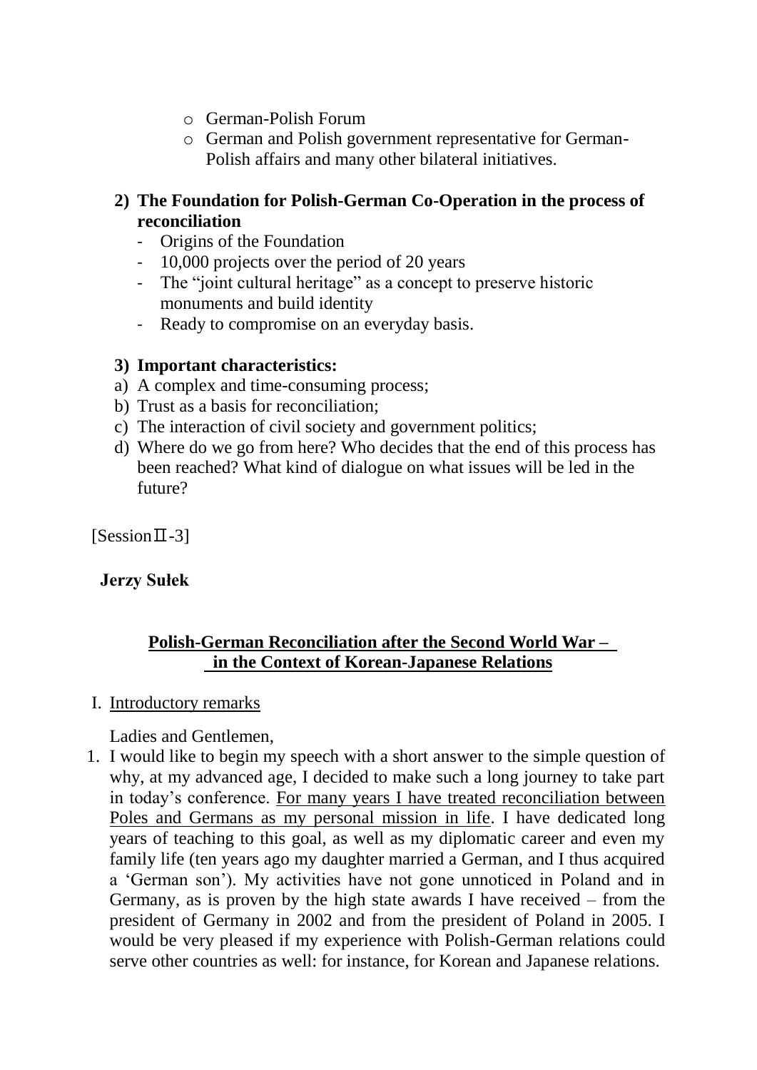- o German-Polish Forum
- o German and Polish government representative for German-Polish affairs and many other bilateral initiatives.

# **2) The Foundation for Polish-German Co-Operation in the process of reconciliation**

- Origins of the Foundation
- 10,000 projects over the period of 20 years
- The "joint cultural heritage" as a concept to preserve historic monuments and build identity
- Ready to compromise on an everyday basis.

# **3) Important characteristics:**

- a) A complex and time-consuming process;
- b) Trust as a basis for reconciliation;
- c) The interaction of civil society and government politics;
- d) Where do we go from here? Who decides that the end of this process has been reached? What kind of dialogue on what issues will be led in the future?

 $[Session II - 3]$ 

# **Jerzy Sułek**

# **Polish-German Reconciliation after the Second World War – in the Context of Korean-Japanese Relations**

I. Introductory remarks

Ladies and Gentlemen,

1. I would like to begin my speech with a short answer to the simple question of why, at my advanced age, I decided to make such a long journey to take part in today"s conference. For many years I have treated reconciliation between Poles and Germans as my personal mission in life. I have dedicated long years of teaching to this goal, as well as my diplomatic career and even my family life (ten years ago my daughter married a German, and I thus acquired a "German son"). My activities have not gone unnoticed in Poland and in Germany, as is proven by the high state awards I have received – from the president of Germany in 2002 and from the president of Poland in 2005. I would be very pleased if my experience with Polish-German relations could serve other countries as well: for instance, for Korean and Japanese relations.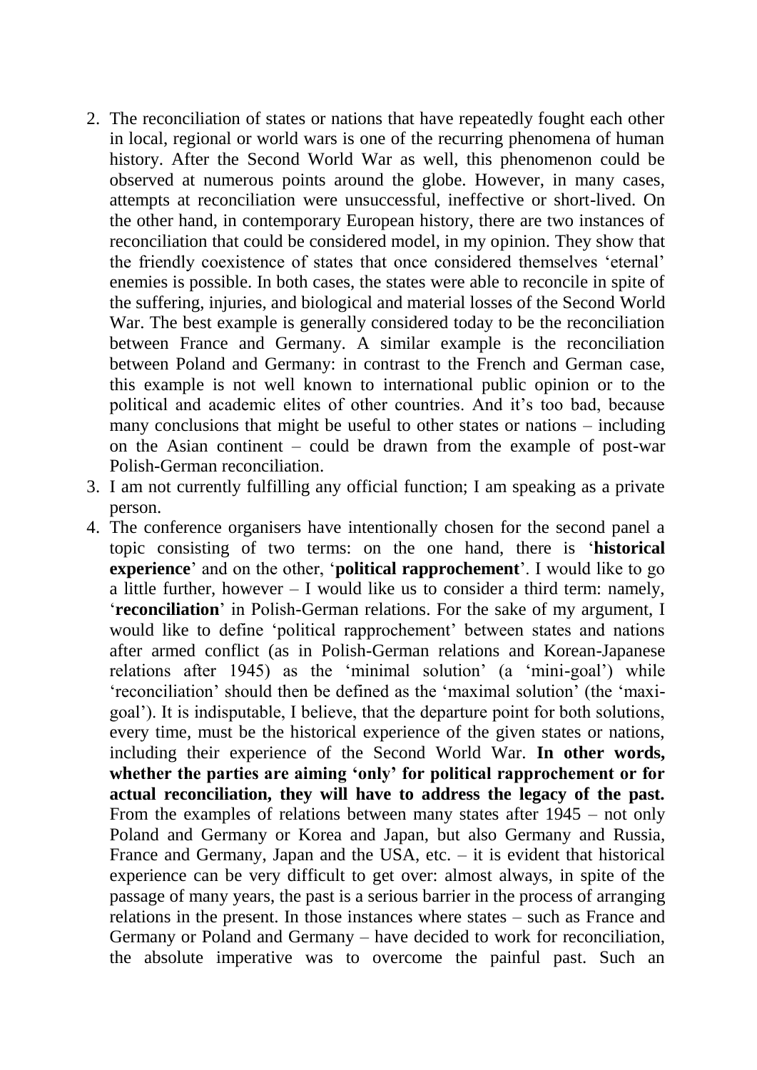- 2. The reconciliation of states or nations that have repeatedly fought each other in local, regional or world wars is one of the recurring phenomena of human history. After the Second World War as well, this phenomenon could be observed at numerous points around the globe. However, in many cases, attempts at reconciliation were unsuccessful, ineffective or short-lived. On the other hand, in contemporary European history, there are two instances of reconciliation that could be considered model, in my opinion. They show that the friendly coexistence of states that once considered themselves "eternal" enemies is possible. In both cases, the states were able to reconcile in spite of the suffering, injuries, and biological and material losses of the Second World War. The best example is generally considered today to be the reconciliation between France and Germany. A similar example is the reconciliation between Poland and Germany: in contrast to the French and German case, this example is not well known to international public opinion or to the political and academic elites of other countries. And it"s too bad, because many conclusions that might be useful to other states or nations – including on the Asian continent – could be drawn from the example of post-war Polish-German reconciliation.
- 3. I am not currently fulfilling any official function; I am speaking as a private person.
- 4. The conference organisers have intentionally chosen for the second panel a topic consisting of two terms: on the one hand, there is "**historical experience**' and on the other, '**political rapprochement**'. I would like to go a little further, however – I would like us to consider a third term: namely, "**reconciliation**" in Polish-German relations. For the sake of my argument, I would like to define 'political rapprochement' between states and nations after armed conflict (as in Polish-German relations and Korean-Japanese relations after 1945) as the 'minimal solution' (a 'mini-goal') while "reconciliation" should then be defined as the "maximal solution" (the "maxigoal"). It is indisputable, I believe, that the departure point for both solutions, every time, must be the historical experience of the given states or nations, including their experience of the Second World War. **In other words, whether the parties are aiming "only" for political rapprochement or for actual reconciliation, they will have to address the legacy of the past.** From the examples of relations between many states after 1945 – not only Poland and Germany or Korea and Japan, but also Germany and Russia, France and Germany, Japan and the USA, etc.  $-$  it is evident that historical experience can be very difficult to get over: almost always, in spite of the passage of many years, the past is a serious barrier in the process of arranging relations in the present. In those instances where states – such as France and Germany or Poland and Germany – have decided to work for reconciliation, the absolute imperative was to overcome the painful past. Such an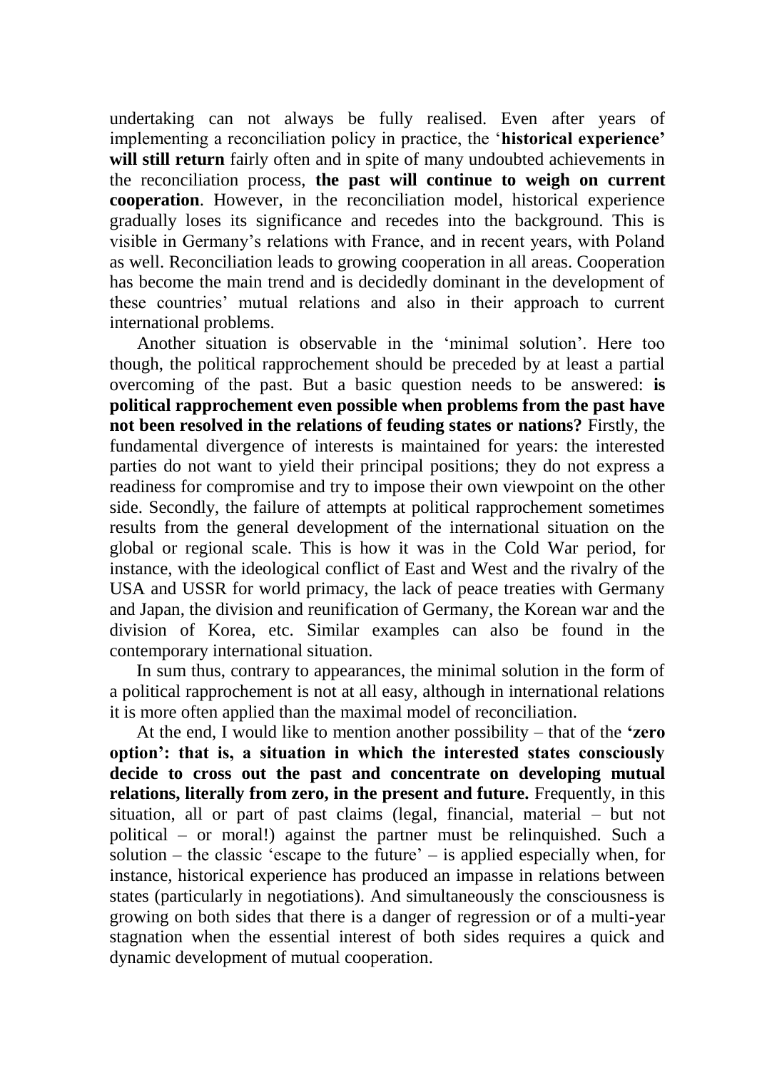undertaking can not always be fully realised. Even after years of implementing a reconciliation policy in practice, the "**historical experience"**  will still return fairly often and in spite of many undoubted achievements in the reconciliation process, **the past will continue to weigh on current cooperation**. However, in the reconciliation model, historical experience gradually loses its significance and recedes into the background. This is visible in Germany"s relations with France, and in recent years, with Poland as well. Reconciliation leads to growing cooperation in all areas. Cooperation has become the main trend and is decidedly dominant in the development of these countries" mutual relations and also in their approach to current international problems.

Another situation is observable in the "minimal solution". Here too though, the political rapprochement should be preceded by at least a partial overcoming of the past. But a basic question needs to be answered: **is political rapprochement even possible when problems from the past have not been resolved in the relations of feuding states or nations?** Firstly, the fundamental divergence of interests is maintained for years: the interested parties do not want to yield their principal positions; they do not express a readiness for compromise and try to impose their own viewpoint on the other side. Secondly, the failure of attempts at political rapprochement sometimes results from the general development of the international situation on the global or regional scale. This is how it was in the Cold War period, for instance, with the ideological conflict of East and West and the rivalry of the USA and USSR for world primacy, the lack of peace treaties with Germany and Japan, the division and reunification of Germany, the Korean war and the division of Korea, etc. Similar examples can also be found in the contemporary international situation.

In sum thus, contrary to appearances, the minimal solution in the form of a political rapprochement is not at all easy, although in international relations it is more often applied than the maximal model of reconciliation.

At the end, I would like to mention another possibility – that of the **"zero option": that is, a situation in which the interested states consciously decide to cross out the past and concentrate on developing mutual relations, literally from zero, in the present and future.** Frequently, in this situation, all or part of past claims (legal, financial, material – but not political – or moral!) against the partner must be relinquished. Such a solution – the classic 'escape to the future' – is applied especially when, for instance, historical experience has produced an impasse in relations between states (particularly in negotiations). And simultaneously the consciousness is growing on both sides that there is a danger of regression or of a multi-year stagnation when the essential interest of both sides requires a quick and dynamic development of mutual cooperation.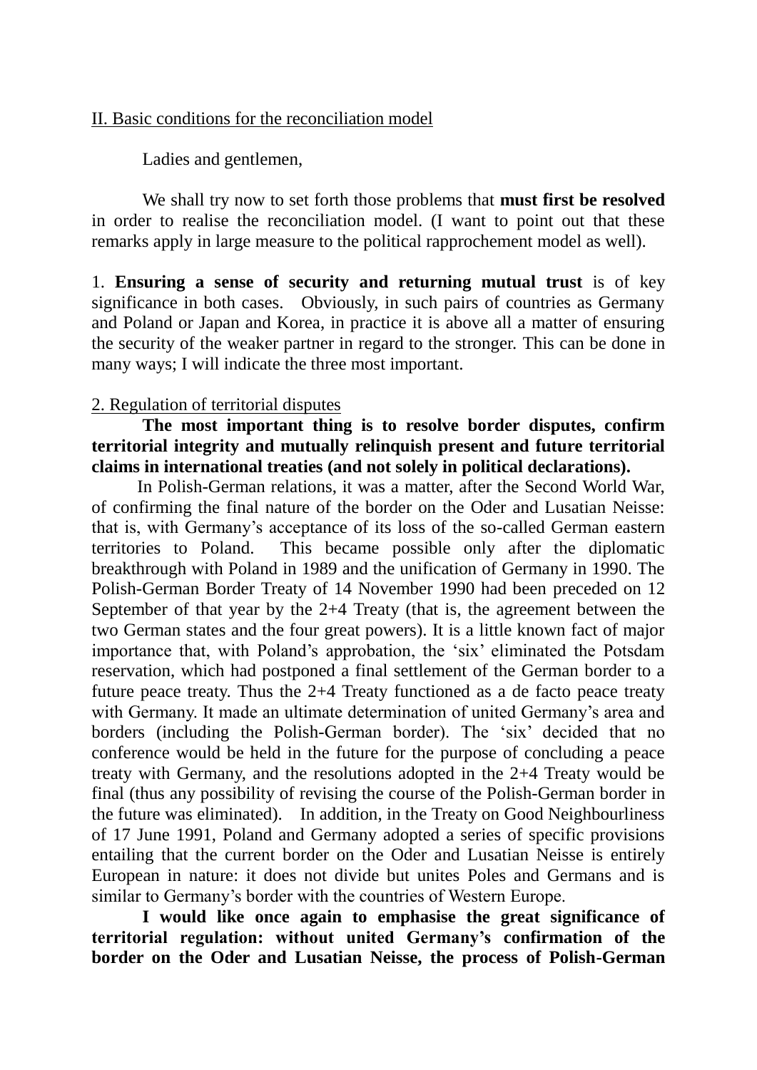#### II. Basic conditions for the reconciliation model

Ladies and gentlemen,

We shall try now to set forth those problems that **must first be resolved** in order to realise the reconciliation model. (I want to point out that these remarks apply in large measure to the political rapprochement model as well).

1. **Ensuring a sense of security and returning mutual trust** is of key significance in both cases. Obviously, in such pairs of countries as Germany and Poland or Japan and Korea, in practice it is above all a matter of ensuring the security of the weaker partner in regard to the stronger. This can be done in many ways; I will indicate the three most important.

#### 2. Regulation of territorial disputes

# **The most important thing is to resolve border disputes, confirm territorial integrity and mutually relinquish present and future territorial claims in international treaties (and not solely in political declarations).**

In Polish-German relations, it was a matter, after the Second World War, of confirming the final nature of the border on the Oder and Lusatian Neisse: that is, with Germany"s acceptance of its loss of the so-called German eastern territories to Poland. This became possible only after the diplomatic breakthrough with Poland in 1989 and the unification of Germany in 1990. The Polish-German Border Treaty of 14 November 1990 had been preceded on 12 September of that year by the 2+4 Treaty (that is, the agreement between the two German states and the four great powers). It is a little known fact of major importance that, with Poland"s approbation, the "six" eliminated the Potsdam reservation, which had postponed a final settlement of the German border to a future peace treaty. Thus the 2+4 Treaty functioned as a de facto peace treaty with Germany. It made an ultimate determination of united Germany's area and borders (including the Polish-German border). The "six" decided that no conference would be held in the future for the purpose of concluding a peace treaty with Germany, and the resolutions adopted in the 2+4 Treaty would be final (thus any possibility of revising the course of the Polish-German border in the future was eliminated). In addition, in the Treaty on Good Neighbourliness of 17 June 1991, Poland and Germany adopted a series of specific provisions entailing that the current border on the Oder and Lusatian Neisse is entirely European in nature: it does not divide but unites Poles and Germans and is similar to Germany's border with the countries of Western Europe.

**I would like once again to emphasise the great significance of territorial regulation: without united Germany"s confirmation of the border on the Oder and Lusatian Neisse, the process of Polish-German**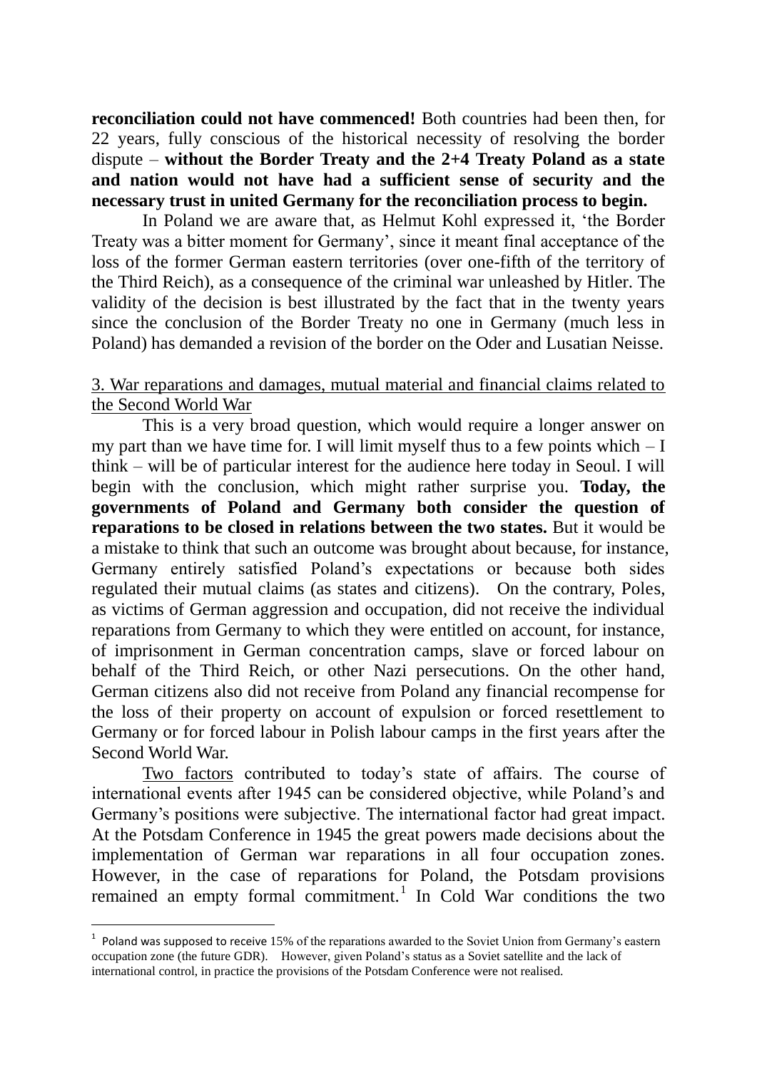**reconciliation could not have commenced!** Both countries had been then, for 22 years, fully conscious of the historical necessity of resolving the border dispute – **without the Border Treaty and the 2+4 Treaty Poland as a state and nation would not have had a sufficient sense of security and the necessary trust in united Germany for the reconciliation process to begin.** 

In Poland we are aware that, as Helmut Kohl expressed it, "the Border Treaty was a bitter moment for Germany", since it meant final acceptance of the loss of the former German eastern territories (over one-fifth of the territory of the Third Reich), as a consequence of the criminal war unleashed by Hitler. The validity of the decision is best illustrated by the fact that in the twenty years since the conclusion of the Border Treaty no one in Germany (much less in Poland) has demanded a revision of the border on the Oder and Lusatian Neisse.

#### 3. War reparations and damages, mutual material and financial claims related to the Second World War

This is a very broad question, which would require a longer answer on my part than we have time for. I will limit myself thus to a few points which  $-I$ think – will be of particular interest for the audience here today in Seoul. I will begin with the conclusion, which might rather surprise you. **Today, the governments of Poland and Germany both consider the question of reparations to be closed in relations between the two states.** But it would be a mistake to think that such an outcome was brought about because, for instance, Germany entirely satisfied Poland"s expectations or because both sides regulated their mutual claims (as states and citizens). On the contrary, Poles, as victims of German aggression and occupation, did not receive the individual reparations from Germany to which they were entitled on account, for instance, of imprisonment in German concentration camps, slave or forced labour on behalf of the Third Reich, or other Nazi persecutions. On the other hand, German citizens also did not receive from Poland any financial recompense for the loss of their property on account of expulsion or forced resettlement to Germany or for forced labour in Polish labour camps in the first years after the Second World War.

Two factors contributed to today"s state of affairs. The course of international events after 1945 can be considered objective, while Poland"s and Germany"s positions were subjective. The international factor had great impact. At the Potsdam Conference in 1945 the great powers made decisions about the implementation of German war reparations in all four occupation zones. However, in the case of reparations for Poland, the Potsdam provisions remained an empty formal commitment.<sup>1</sup> In Cold War conditions the two

-

 $1$  Poland was supposed to receive 15% of the reparations awarded to the Soviet Union from Germany's eastern occupation zone (the future GDR). However, given Poland"s status as a Soviet satellite and the lack of international control, in practice the provisions of the Potsdam Conference were not realised.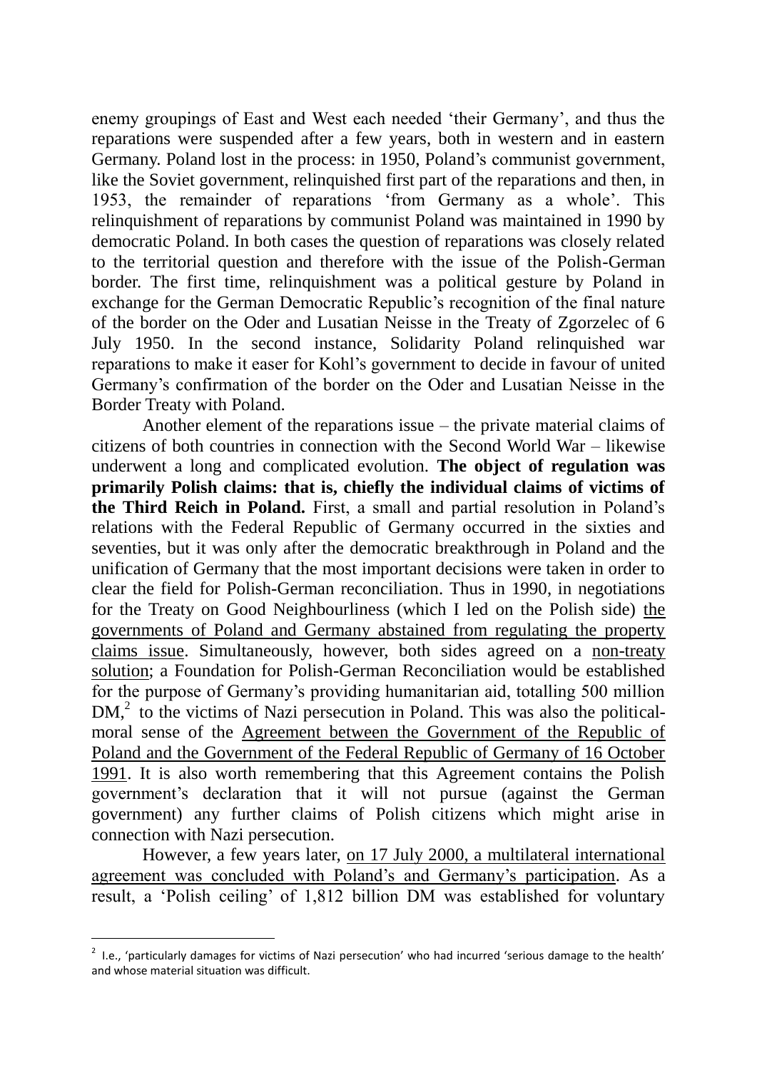enemy groupings of East and West each needed "their Germany", and thus the reparations were suspended after a few years, both in western and in eastern Germany. Poland lost in the process: in 1950, Poland's communist government, like the Soviet government, relinquished first part of the reparations and then, in 1953, the remainder of reparations "from Germany as a whole". This relinquishment of reparations by communist Poland was maintained in 1990 by democratic Poland. In both cases the question of reparations was closely related to the territorial question and therefore with the issue of the Polish-German border. The first time, relinquishment was a political gesture by Poland in exchange for the German Democratic Republic"s recognition of the final nature of the border on the Oder and Lusatian Neisse in the Treaty of Zgorzelec of 6 July 1950. In the second instance, Solidarity Poland relinquished war reparations to make it easer for Kohl"s government to decide in favour of united Germany"s confirmation of the border on the Oder and Lusatian Neisse in the Border Treaty with Poland.

Another element of the reparations issue – the private material claims of citizens of both countries in connection with the Second World War – likewise underwent a long and complicated evolution. **The object of regulation was primarily Polish claims: that is, chiefly the individual claims of victims of the Third Reich in Poland.** First, a small and partial resolution in Poland"s relations with the Federal Republic of Germany occurred in the sixties and seventies, but it was only after the democratic breakthrough in Poland and the unification of Germany that the most important decisions were taken in order to clear the field for Polish-German reconciliation. Thus in 1990, in negotiations for the Treaty on Good Neighbourliness (which I led on the Polish side) the governments of Poland and Germany abstained from regulating the property claims issue. Simultaneously, however, both sides agreed on a non-treaty solution; a Foundation for Polish-German Reconciliation would be established for the purpose of Germany"s providing humanitarian aid, totalling 500 million DM,<sup>2</sup> to the victims of Nazi persecution in Poland. This was also the politicalmoral sense of the Agreement between the Government of the Republic of Poland and the Government of the Federal Republic of Germany of 16 October 1991. It is also worth remembering that this Agreement contains the Polish government"s declaration that it will not pursue (against the German government) any further claims of Polish citizens which might arise in connection with Nazi persecution.

However, a few years later, on 17 July 2000, a multilateral international agreement was concluded with Poland"s and Germany"s participation. As a result, a "Polish ceiling" of 1,812 billion DM was established for voluntary

-

 $2$  I.e., 'particularly damages for victims of Nazi persecution' who had incurred 'serious damage to the health' and whose material situation was difficult.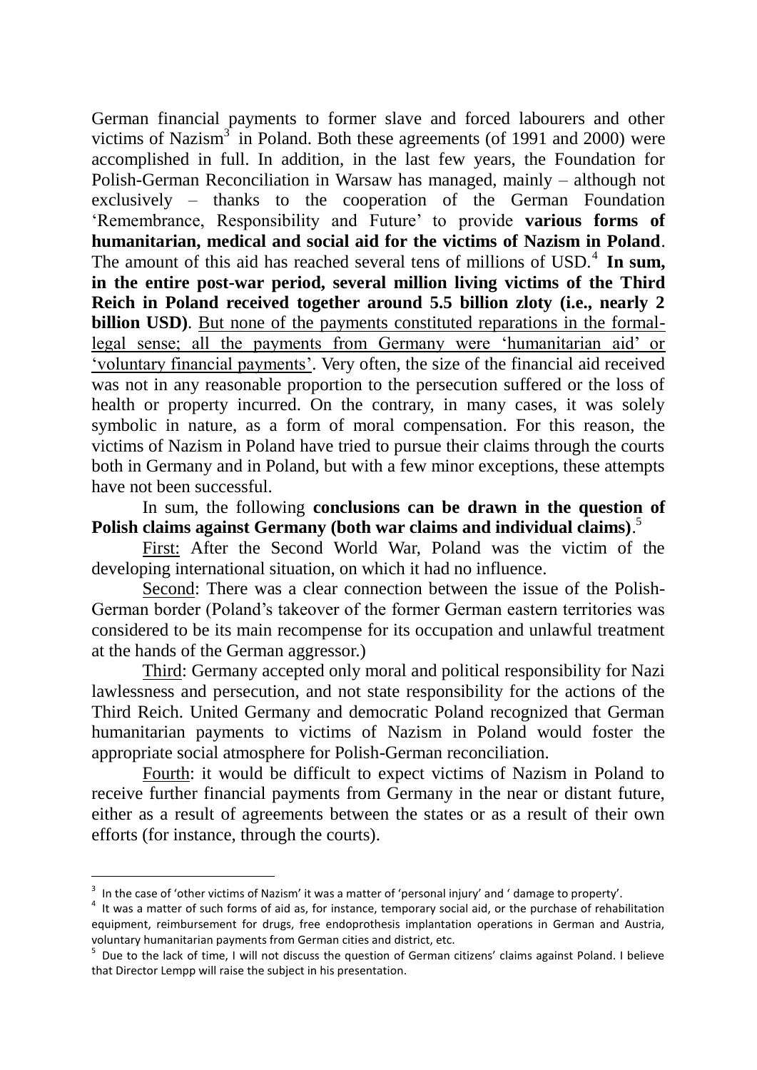German financial payments to former slave and forced labourers and other victims of Nazism $3\overline{3}$  in Poland. Both these agreements (of 1991 and 2000) were accomplished in full. In addition, in the last few years, the Foundation for Polish-German Reconciliation in Warsaw has managed, mainly – although not exclusively – thanks to the cooperation of the German Foundation "Remembrance, Responsibility and Future" to provide **various forms of humanitarian, medical and social aid for the victims of Nazism in Poland**. The amount of this aid has reached several tens of millions of USD.<sup>4</sup> In sum, **in the entire post-war period, several million living victims of the Third Reich in Poland received together around 5.5 billion zloty (i.e., nearly 2 billion USD**). But none of the payments constituted reparations in the formallegal sense; all the payments from Germany were "humanitarian aid" or "voluntary financial payments". Very often, the size of the financial aid received was not in any reasonable proportion to the persecution suffered or the loss of health or property incurred. On the contrary, in many cases, it was solely symbolic in nature, as a form of moral compensation. For this reason, the victims of Nazism in Poland have tried to pursue their claims through the courts both in Germany and in Poland, but with a few minor exceptions, these attempts have not been successful.

In sum, the following **conclusions can be drawn in the question of Polish claims against Germany (both war claims and individual claims)**. 5

First: After the Second World War, Poland was the victim of the developing international situation, on which it had no influence.

Second: There was a clear connection between the issue of the Polish-German border (Poland"s takeover of the former German eastern territories was considered to be its main recompense for its occupation and unlawful treatment at the hands of the German aggressor.)

Third: Germany accepted only moral and political responsibility for Nazi lawlessness and persecution, and not state responsibility for the actions of the Third Reich. United Germany and democratic Poland recognized that German humanitarian payments to victims of Nazism in Poland would foster the appropriate social atmosphere for Polish-German reconciliation.

Fourth: it would be difficult to expect victims of Nazism in Poland to receive further financial payments from Germany in the near or distant future, either as a result of agreements between the states or as a result of their own efforts (for instance, through the courts).

-

 $3$  In the case of 'other victims of Nazism' it was a matter of 'personal injury' and 'damage to property'.

 $4$  It was a matter of such forms of aid as, for instance, temporary social aid, or the purchase of rehabilitation equipment, reimbursement for drugs, free endoprothesis implantation operations in German and Austria, voluntary humanitarian payments from German cities and district, etc.

<sup>&</sup>lt;sup>5</sup> Due to the lack of time, I will not discuss the question of German citizens' claims against Poland. I believe that Director Lempp will raise the subject in his presentation.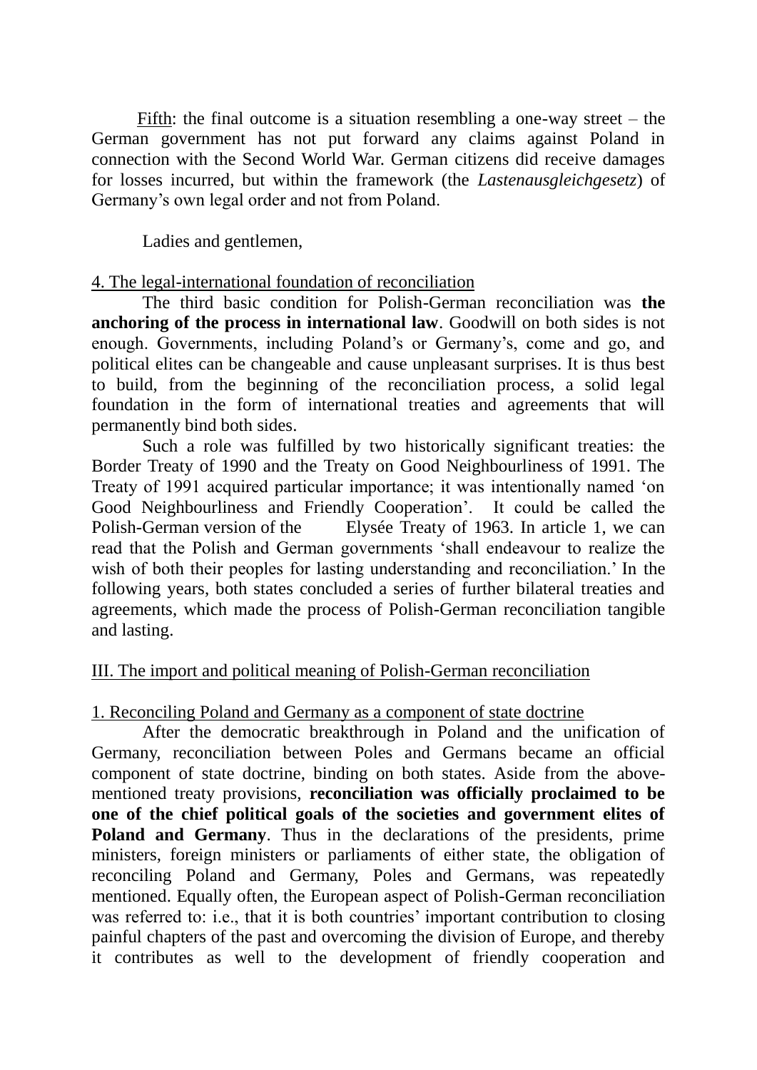Fifth: the final outcome is a situation resembling a one-way street – the German government has not put forward any claims against Poland in connection with the Second World War. German citizens did receive damages for losses incurred, but within the framework (the *Lastenausgleichgesetz*) of Germany"s own legal order and not from Poland.

Ladies and gentlemen,

# 4. The legal-international foundation of reconciliation

The third basic condition for Polish-German reconciliation was **the anchoring of the process in international law**. Goodwill on both sides is not enough. Governments, including Poland"s or Germany"s, come and go, and political elites can be changeable and cause unpleasant surprises. It is thus best to build, from the beginning of the reconciliation process, a solid legal foundation in the form of international treaties and agreements that will permanently bind both sides.

Such a role was fulfilled by two historically significant treaties: the Border Treaty of 1990 and the Treaty on Good Neighbourliness of 1991. The Treaty of 1991 acquired particular importance; it was intentionally named "on Good Neighbourliness and Friendly Cooperation". It could be called the Polish-German version of the Elysée Treaty of 1963. In article 1, we can read that the Polish and German governments "shall endeavour to realize the wish of both their peoples for lasting understanding and reconciliation.' In the following years, both states concluded a series of further bilateral treaties and agreements, which made the process of Polish-German reconciliation tangible and lasting.

# III. The import and political meaning of Polish-German reconciliation

# 1. Reconciling Poland and Germany as a component of state doctrine

After the democratic breakthrough in Poland and the unification of Germany, reconciliation between Poles and Germans became an official component of state doctrine, binding on both states. Aside from the abovementioned treaty provisions, **reconciliation was officially proclaimed to be one of the chief political goals of the societies and government elites of Poland and Germany**. Thus in the declarations of the presidents, prime ministers, foreign ministers or parliaments of either state, the obligation of reconciling Poland and Germany, Poles and Germans, was repeatedly mentioned. Equally often, the European aspect of Polish-German reconciliation was referred to: i.e., that it is both countries' important contribution to closing painful chapters of the past and overcoming the division of Europe, and thereby it contributes as well to the development of friendly cooperation and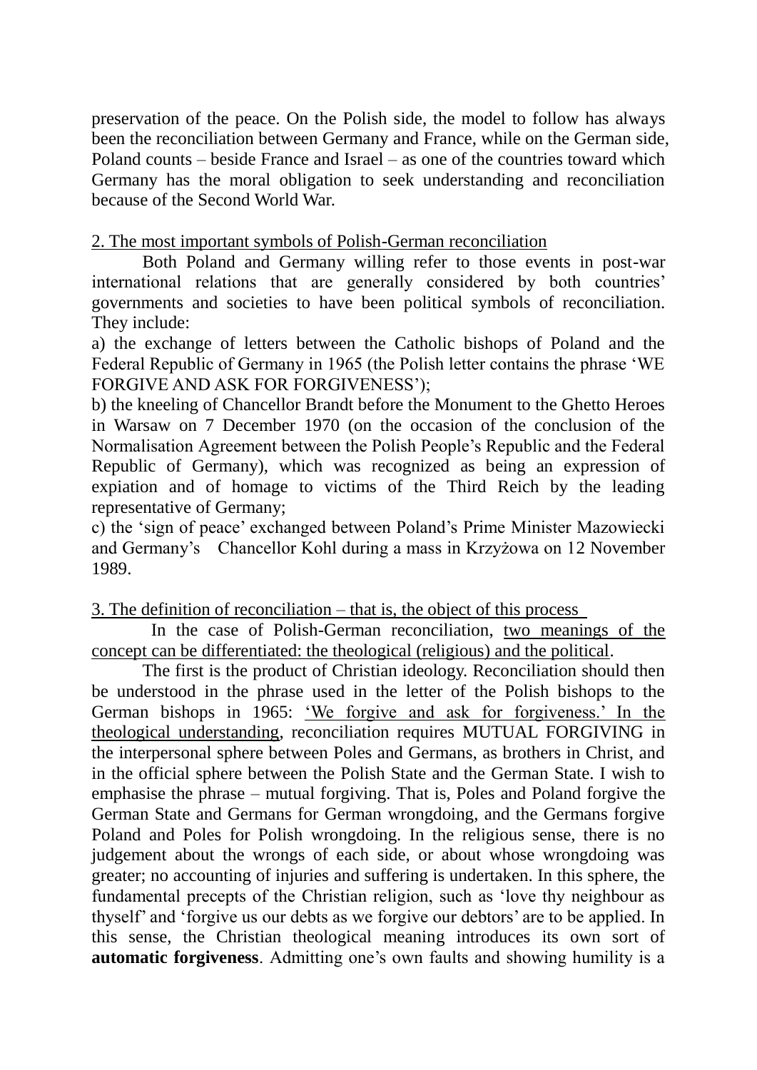preservation of the peace. On the Polish side, the model to follow has always been the reconciliation between Germany and France, while on the German side, Poland counts – beside France and Israel – as one of the countries toward which Germany has the moral obligation to seek understanding and reconciliation because of the Second World War.

# 2. The most important symbols of Polish-German reconciliation

Both Poland and Germany willing refer to those events in post-war international relations that are generally considered by both countries' governments and societies to have been political symbols of reconciliation. They include:

a) the exchange of letters between the Catholic bishops of Poland and the Federal Republic of Germany in 1965 (the Polish letter contains the phrase "WE FORGIVE AND ASK FOR FORGIVENESS');

b) the kneeling of Chancellor Brandt before the Monument to the Ghetto Heroes in Warsaw on 7 December 1970 (on the occasion of the conclusion of the Normalisation Agreement between the Polish People"s Republic and the Federal Republic of Germany), which was recognized as being an expression of expiation and of homage to victims of the Third Reich by the leading representative of Germany;

c) the "sign of peace" exchanged between Poland"s Prime Minister Mazowiecki and Germany"s Chancellor Kohl during a mass in Krzyżowa on 12 November 1989.

# 3. The definition of reconciliation – that is, the object of this process

In the case of Polish-German reconciliation, two meanings of the concept can be differentiated: the theological (religious) and the political.

The first is the product of Christian ideology. Reconciliation should then be understood in the phrase used in the letter of the Polish bishops to the German bishops in 1965: 'We forgive and ask for forgiveness.' In the theological understanding, reconciliation requires MUTUAL FORGIVING in the interpersonal sphere between Poles and Germans, as brothers in Christ, and in the official sphere between the Polish State and the German State. I wish to emphasise the phrase – mutual forgiving. That is, Poles and Poland forgive the German State and Germans for German wrongdoing, and the Germans forgive Poland and Poles for Polish wrongdoing. In the religious sense, there is no judgement about the wrongs of each side, or about whose wrongdoing was greater; no accounting of injuries and suffering is undertaken. In this sphere, the fundamental precepts of the Christian religion, such as "love thy neighbour as thyself' and 'forgive us our debts as we forgive our debtors' are to be applied. In this sense, the Christian theological meaning introduces its own sort of **automatic forgiveness**. Admitting one's own faults and showing humility is a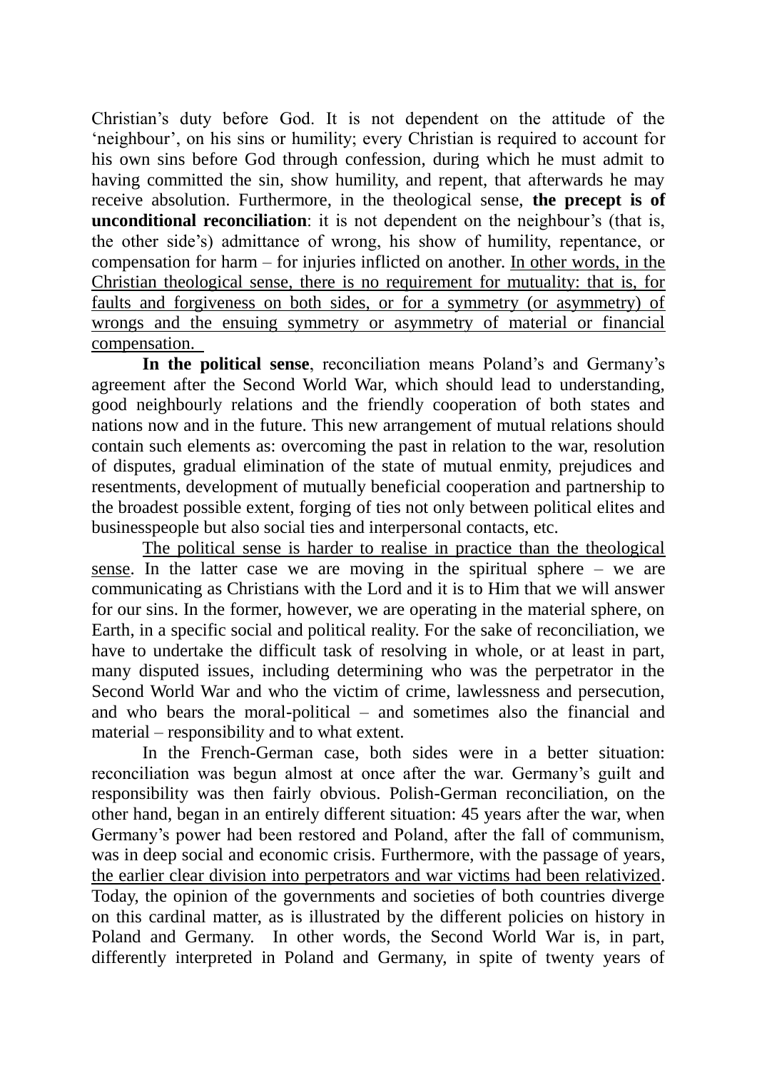Christian"s duty before God. It is not dependent on the attitude of the "neighbour", on his sins or humility; every Christian is required to account for his own sins before God through confession, during which he must admit to having committed the sin, show humility, and repent, that afterwards he may receive absolution. Furthermore, in the theological sense, **the precept is of unconditional reconciliation**: it is not dependent on the neighbour's (that is, the other side"s) admittance of wrong, his show of humility, repentance, or compensation for harm – for injuries inflicted on another. In other words, in the Christian theological sense, there is no requirement for mutuality: that is, for faults and forgiveness on both sides, or for a symmetry (or asymmetry) of wrongs and the ensuing symmetry or asymmetry of material or financial compensation.

**In the political sense**, reconciliation means Poland"s and Germany"s agreement after the Second World War, which should lead to understanding, good neighbourly relations and the friendly cooperation of both states and nations now and in the future. This new arrangement of mutual relations should contain such elements as: overcoming the past in relation to the war, resolution of disputes, gradual elimination of the state of mutual enmity, prejudices and resentments, development of mutually beneficial cooperation and partnership to the broadest possible extent, forging of ties not only between political elites and businesspeople but also social ties and interpersonal contacts, etc.

The political sense is harder to realise in practice than the theological sense. In the latter case we are moving in the spiritual sphere – we are communicating as Christians with the Lord and it is to Him that we will answer for our sins. In the former, however, we are operating in the material sphere, on Earth, in a specific social and political reality. For the sake of reconciliation, we have to undertake the difficult task of resolving in whole, or at least in part, many disputed issues, including determining who was the perpetrator in the Second World War and who the victim of crime, lawlessness and persecution, and who bears the moral-political – and sometimes also the financial and material – responsibility and to what extent.

In the French-German case, both sides were in a better situation: reconciliation was begun almost at once after the war. Germany"s guilt and responsibility was then fairly obvious. Polish-German reconciliation, on the other hand, began in an entirely different situation: 45 years after the war, when Germany's power had been restored and Poland, after the fall of communism, was in deep social and economic crisis. Furthermore, with the passage of years, the earlier clear division into perpetrators and war victims had been relativized. Today, the opinion of the governments and societies of both countries diverge on this cardinal matter, as is illustrated by the different policies on history in Poland and Germany. In other words, the Second World War is, in part, differently interpreted in Poland and Germany, in spite of twenty years of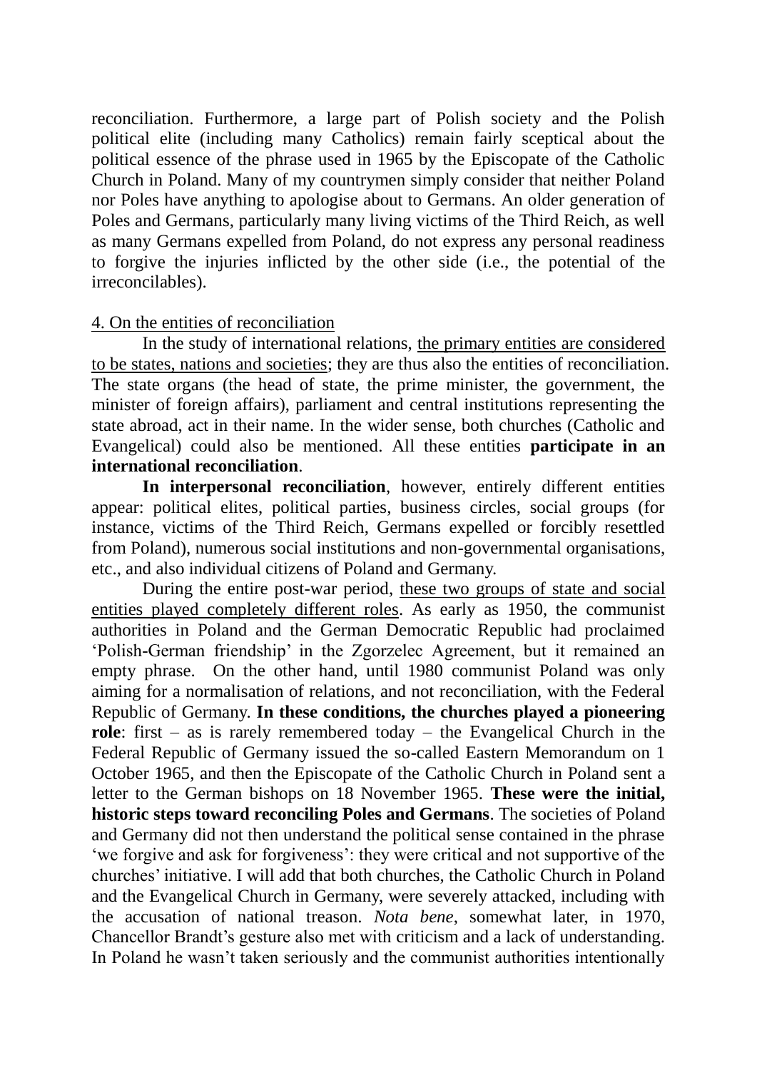reconciliation. Furthermore, a large part of Polish society and the Polish political elite (including many Catholics) remain fairly sceptical about the political essence of the phrase used in 1965 by the Episcopate of the Catholic Church in Poland. Many of my countrymen simply consider that neither Poland nor Poles have anything to apologise about to Germans. An older generation of Poles and Germans, particularly many living victims of the Third Reich, as well as many Germans expelled from Poland, do not express any personal readiness to forgive the injuries inflicted by the other side (i.e., the potential of the irreconcilables).

#### 4. On the entities of reconciliation

In the study of international relations, the primary entities are considered to be states, nations and societies; they are thus also the entities of reconciliation. The state organs (the head of state, the prime minister, the government, the minister of foreign affairs), parliament and central institutions representing the state abroad, act in their name. In the wider sense, both churches (Catholic and Evangelical) could also be mentioned. All these entities **participate in an international reconciliation**.

**In interpersonal reconciliation**, however, entirely different entities appear: political elites, political parties, business circles, social groups (for instance, victims of the Third Reich, Germans expelled or forcibly resettled from Poland), numerous social institutions and non-governmental organisations, etc., and also individual citizens of Poland and Germany.

During the entire post-war period, these two groups of state and social entities played completely different roles. As early as 1950, the communist authorities in Poland and the German Democratic Republic had proclaimed "Polish-German friendship" in the Zgorzelec Agreement, but it remained an empty phrase. On the other hand, until 1980 communist Poland was only aiming for a normalisation of relations, and not reconciliation, with the Federal Republic of Germany. **In these conditions, the churches played a pioneering role**: first – as is rarely remembered today – the Evangelical Church in the Federal Republic of Germany issued the so-called Eastern Memorandum on 1 October 1965, and then the Episcopate of the Catholic Church in Poland sent a letter to the German bishops on 18 November 1965. **These were the initial, historic steps toward reconciling Poles and Germans**. The societies of Poland and Germany did not then understand the political sense contained in the phrase "we forgive and ask for forgiveness": they were critical and not supportive of the churches" initiative. I will add that both churches, the Catholic Church in Poland and the Evangelical Church in Germany, were severely attacked, including with the accusation of national treason. *Nota bene*, somewhat later, in 1970, Chancellor Brandt"s gesture also met with criticism and a lack of understanding. In Poland he wasn"t taken seriously and the communist authorities intentionally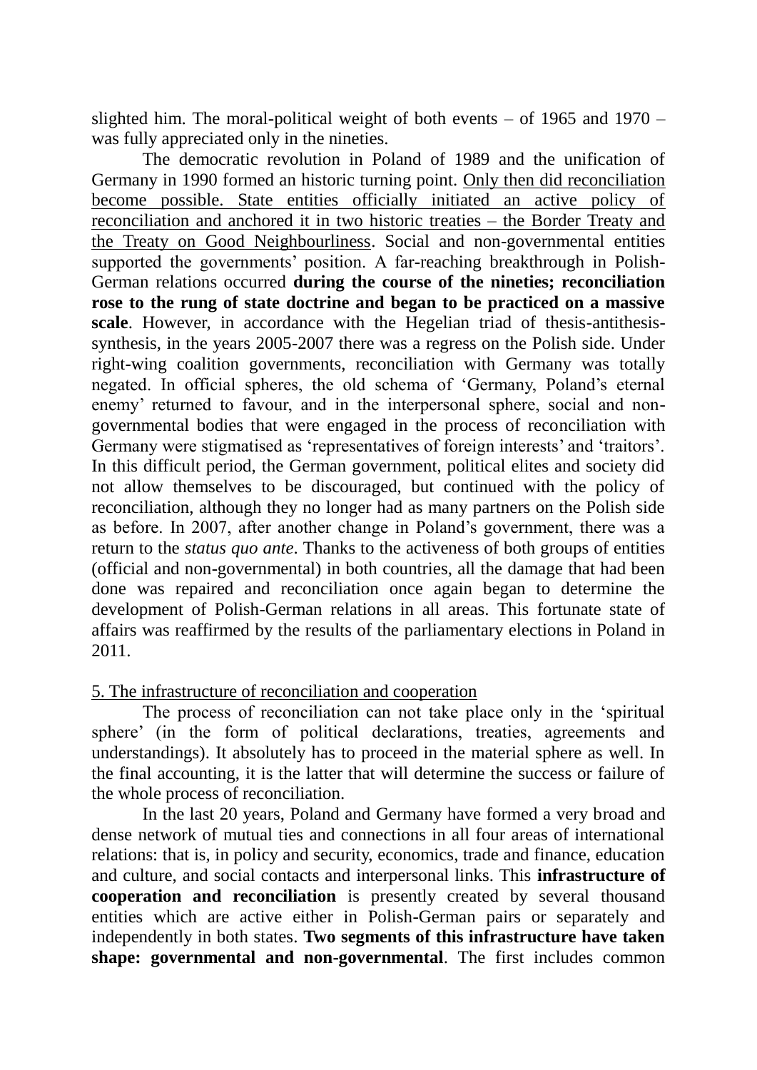slighted him. The moral-political weight of both events – of 1965 and 1970 – was fully appreciated only in the nineties.

The democratic revolution in Poland of 1989 and the unification of Germany in 1990 formed an historic turning point. Only then did reconciliation become possible. State entities officially initiated an active policy of reconciliation and anchored it in two historic treaties – the Border Treaty and the Treaty on Good Neighbourliness. Social and non-governmental entities supported the governments' position. A far-reaching breakthrough in Polish-German relations occurred **during the course of the nineties; reconciliation rose to the rung of state doctrine and began to be practiced on a massive scale**. However, in accordance with the Hegelian triad of thesis-antithesissynthesis, in the years 2005-2007 there was a regress on the Polish side. Under right-wing coalition governments, reconciliation with Germany was totally negated. In official spheres, the old schema of "Germany, Poland"s eternal enemy' returned to favour, and in the interpersonal sphere, social and nongovernmental bodies that were engaged in the process of reconciliation with Germany were stigmatised as 'representatives of foreign interests' and 'traitors'. In this difficult period, the German government, political elites and society did not allow themselves to be discouraged, but continued with the policy of reconciliation, although they no longer had as many partners on the Polish side as before. In 2007, after another change in Poland"s government, there was a return to the *status quo ante*. Thanks to the activeness of both groups of entities (official and non-governmental) in both countries, all the damage that had been done was repaired and reconciliation once again began to determine the development of Polish-German relations in all areas. This fortunate state of affairs was reaffirmed by the results of the parliamentary elections in Poland in 2011.

5. The infrastructure of reconciliation and cooperation

The process of reconciliation can not take place only in the "spiritual sphere' (in the form of political declarations, treaties, agreements and understandings). It absolutely has to proceed in the material sphere as well. In the final accounting, it is the latter that will determine the success or failure of the whole process of reconciliation.

In the last 20 years, Poland and Germany have formed a very broad and dense network of mutual ties and connections in all four areas of international relations: that is, in policy and security, economics, trade and finance, education and culture, and social contacts and interpersonal links. This **infrastructure of cooperation and reconciliation** is presently created by several thousand entities which are active either in Polish-German pairs or separately and independently in both states. **Two segments of this infrastructure have taken shape: governmental and non-governmental**. The first includes common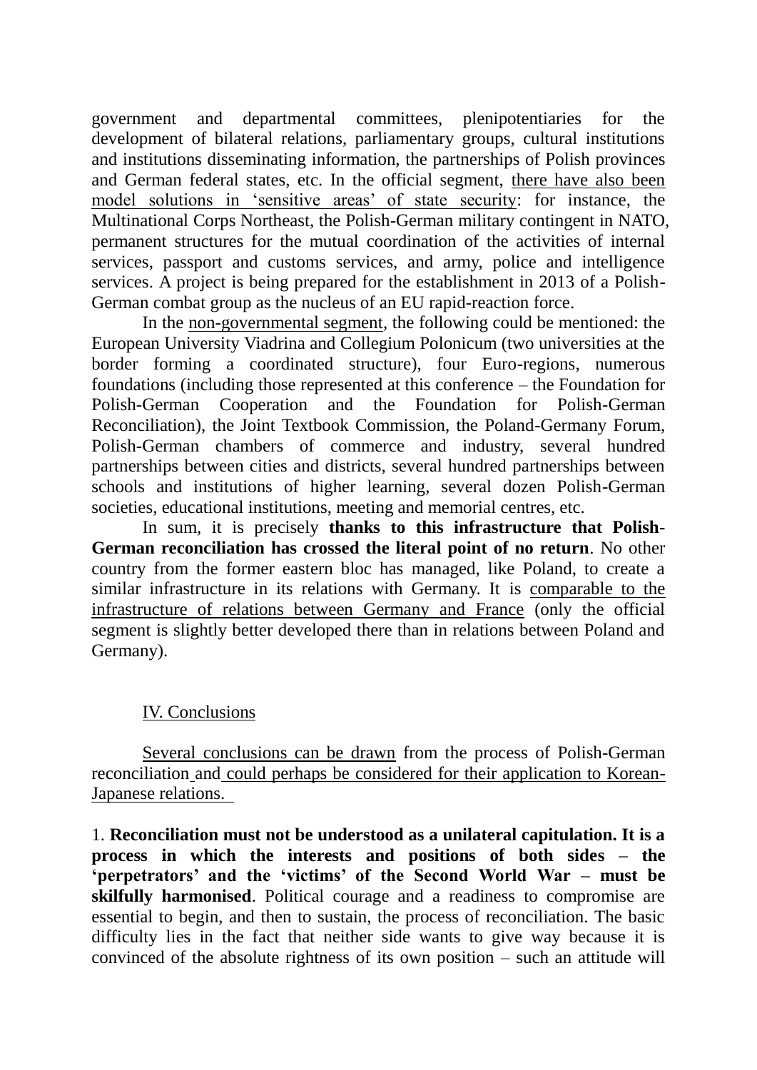government and departmental committees, plenipotentiaries for the development of bilateral relations, parliamentary groups, cultural institutions and institutions disseminating information, the partnerships of Polish provinces and German federal states, etc. In the official segment, there have also been model solutions in 'sensitive areas' of state security: for instance, the Multinational Corps Northeast, the Polish-German military contingent in NATO, permanent structures for the mutual coordination of the activities of internal services, passport and customs services, and army, police and intelligence services. A project is being prepared for the establishment in 2013 of a Polish-German combat group as the nucleus of an EU rapid-reaction force.

In the non-governmental segment, the following could be mentioned: the European University Viadrina and Collegium Polonicum (two universities at the border forming a coordinated structure), four Euro-regions, numerous foundations (including those represented at this conference – the Foundation for Polish-German Cooperation and the Foundation for Polish-German Reconciliation), the Joint Textbook Commission, the Poland-Germany Forum, Polish-German chambers of commerce and industry, several hundred partnerships between cities and districts, several hundred partnerships between schools and institutions of higher learning, several dozen Polish-German societies, educational institutions, meeting and memorial centres, etc.

In sum, it is precisely **thanks to this infrastructure that Polish-German reconciliation has crossed the literal point of no return**. No other country from the former eastern bloc has managed, like Poland, to create a similar infrastructure in its relations with Germany. It is comparable to the infrastructure of relations between Germany and France (only the official segment is slightly better developed there than in relations between Poland and Germany).

# IV. Conclusions

Several conclusions can be drawn from the process of Polish-German reconciliation and could perhaps be considered for their application to Korean-Japanese relations.

1. **Reconciliation must not be understood as a unilateral capitulation. It is a process in which the interests and positions of both sides – the "perpetrators" and the "victims" of the Second World War – must be skilfully harmonised**. Political courage and a readiness to compromise are essential to begin, and then to sustain, the process of reconciliation. The basic difficulty lies in the fact that neither side wants to give way because it is convinced of the absolute rightness of its own position – such an attitude will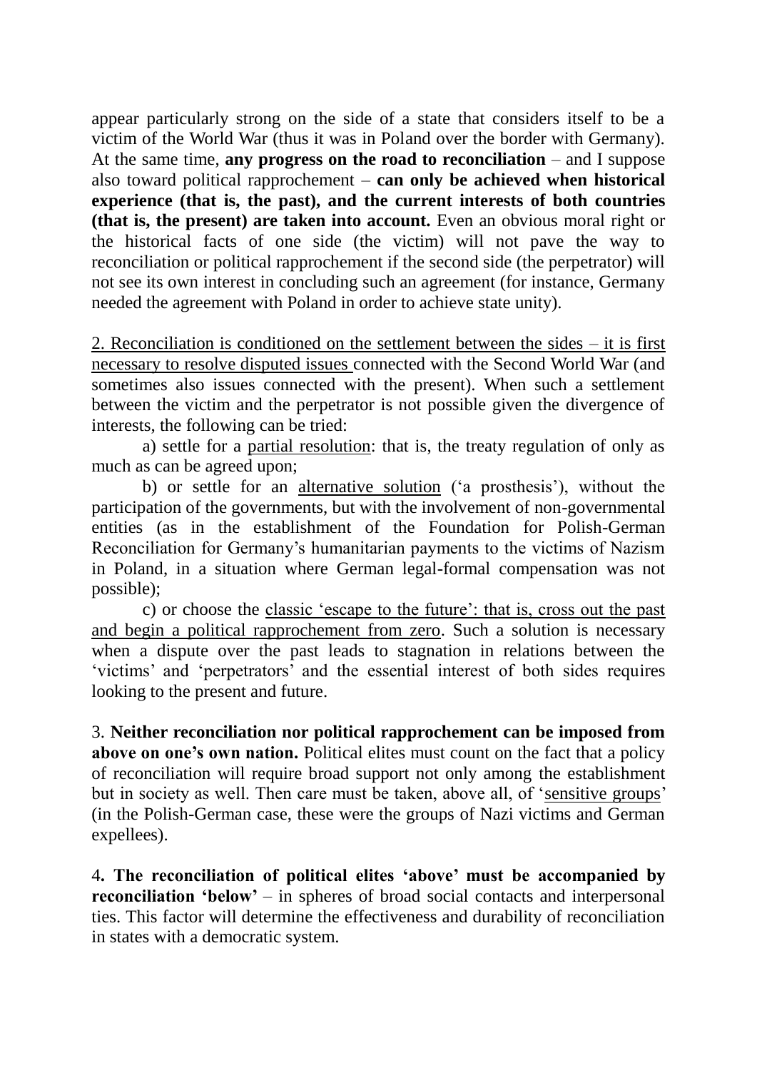appear particularly strong on the side of a state that considers itself to be a victim of the World War (thus it was in Poland over the border with Germany). At the same time, **any progress on the road to reconciliation** – and I suppose also toward political rapprochement – **can only be achieved when historical experience (that is, the past), and the current interests of both countries (that is, the present) are taken into account.** Even an obvious moral right or the historical facts of one side (the victim) will not pave the way to reconciliation or political rapprochement if the second side (the perpetrator) will not see its own interest in concluding such an agreement (for instance, Germany needed the agreement with Poland in order to achieve state unity).

2. Reconciliation is conditioned on the settlement between the sides – it is first necessary to resolve disputed issues connected with the Second World War (and sometimes also issues connected with the present). When such a settlement between the victim and the perpetrator is not possible given the divergence of interests, the following can be tried:

a) settle for a partial resolution: that is, the treaty regulation of only as much as can be agreed upon;

b) or settle for an alternative solution ('a prosthesis'), without the participation of the governments, but with the involvement of non-governmental entities (as in the establishment of the Foundation for Polish-German Reconciliation for Germany"s humanitarian payments to the victims of Nazism in Poland, in a situation where German legal-formal compensation was not possible);

c) or choose the classic "escape to the future": that is, cross out the past and begin a political rapprochement from zero. Such a solution is necessary when a dispute over the past leads to stagnation in relations between the "victims" and "perpetrators" and the essential interest of both sides requires looking to the present and future.

3. **Neither reconciliation nor political rapprochement can be imposed from above on one's own nation.** Political elites must count on the fact that a policy of reconciliation will require broad support not only among the establishment but in society as well. Then care must be taken, above all, of 'sensitive groups' (in the Polish-German case, these were the groups of Nazi victims and German expellees).

4**. The reconciliation of political elites "above" must be accompanied by reconciliation 'below'** – in spheres of broad social contacts and interpersonal ties. This factor will determine the effectiveness and durability of reconciliation in states with a democratic system.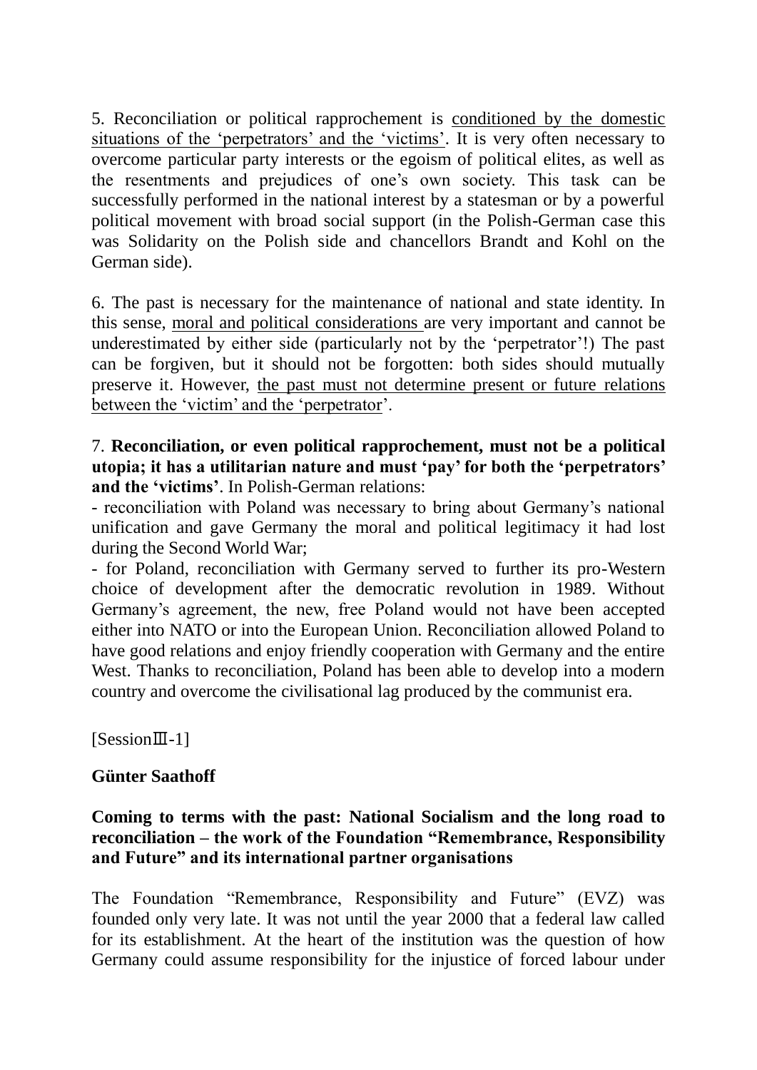5. Reconciliation or political rapprochement is conditioned by the domestic situations of the 'perpetrators' and the 'victims'. It is very often necessary to overcome particular party interests or the egoism of political elites, as well as the resentments and prejudices of one"s own society. This task can be successfully performed in the national interest by a statesman or by a powerful political movement with broad social support (in the Polish-German case this was Solidarity on the Polish side and chancellors Brandt and Kohl on the German side).

6. The past is necessary for the maintenance of national and state identity. In this sense, moral and political considerations are very important and cannot be underestimated by either side (particularly not by the "perpetrator"!) The past can be forgiven, but it should not be forgotten: both sides should mutually preserve it. However, the past must not determine present or future relations between the 'victim' and the 'perpetrator'.

7. **Reconciliation, or even political rapprochement, must not be a political utopia; it has a utilitarian nature and must "pay" for both the "perpetrators" and the "victims"**. In Polish-German relations:

- reconciliation with Poland was necessary to bring about Germany"s national unification and gave Germany the moral and political legitimacy it had lost during the Second World War;

- for Poland, reconciliation with Germany served to further its pro-Western choice of development after the democratic revolution in 1989. Without Germany"s agreement, the new, free Poland would not have been accepted either into NATO or into the European Union. Reconciliation allowed Poland to have good relations and enjoy friendly cooperation with Germany and the entire West. Thanks to reconciliation, Poland has been able to develop into a modern country and overcome the civilisational lag produced by the communist era.

[SessionⅢ-1]

# **Günter Saathoff**

# **Coming to terms with the past: National Socialism and the long road to reconciliation – the work of the Foundation "Remembrance, Responsibility and Future" and its international partner organisations**

The Foundation "Remembrance, Responsibility and Future" (EVZ) was founded only very late. It was not until the year 2000 that a federal law called for its establishment. At the heart of the institution was the question of how Germany could assume responsibility for the injustice of forced labour under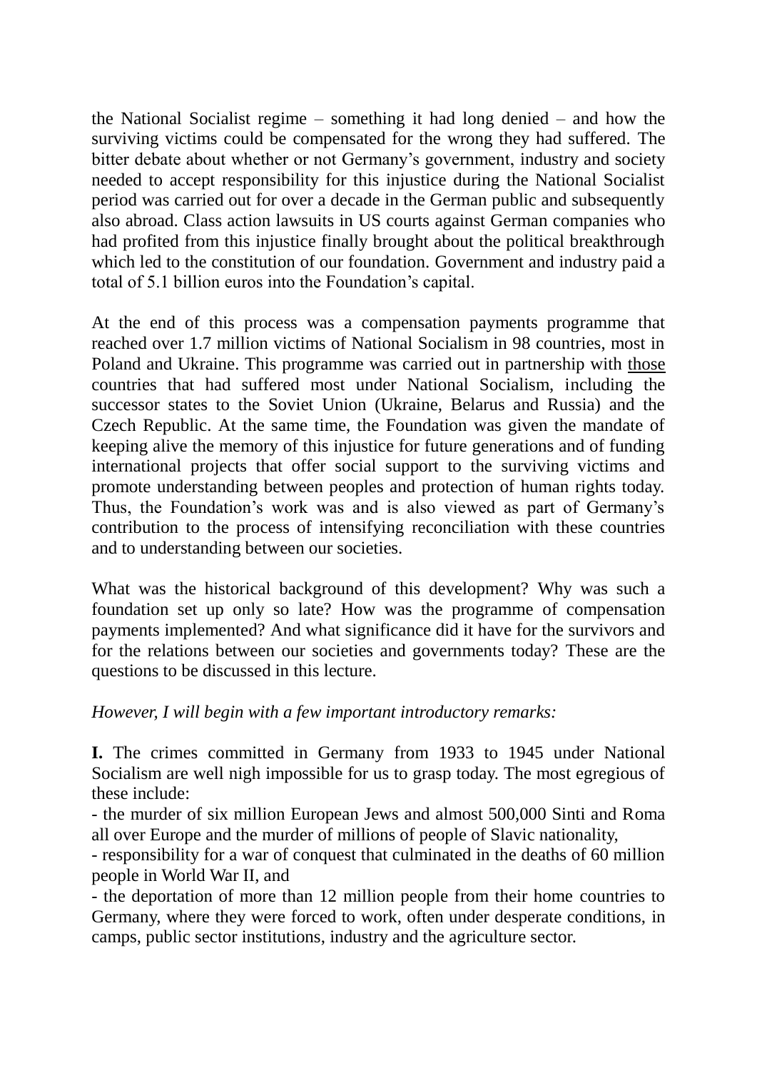the National Socialist regime – something it had long denied – and how the surviving victims could be compensated for the wrong they had suffered. The bitter debate about whether or not Germany's government, industry and society needed to accept responsibility for this injustice during the National Socialist period was carried out for over a decade in the German public and subsequently also abroad. Class action lawsuits in US courts against German companies who had profited from this injustice finally brought about the political breakthrough which led to the constitution of our foundation. Government and industry paid a total of 5.1 billion euros into the Foundation"s capital.

At the end of this process was a compensation payments programme that reached over 1.7 million victims of National Socialism in 98 countries, most in Poland and Ukraine. This programme was carried out in partnership with those countries that had suffered most under National Socialism, including the successor states to the Soviet Union (Ukraine, Belarus and Russia) and the Czech Republic. At the same time, the Foundation was given the mandate of keeping alive the memory of this injustice for future generations and of funding international projects that offer social support to the surviving victims and promote understanding between peoples and protection of human rights today. Thus, the Foundation's work was and is also viewed as part of Germany's contribution to the process of intensifying reconciliation with these countries and to understanding between our societies.

What was the historical background of this development? Why was such a foundation set up only so late? How was the programme of compensation payments implemented? And what significance did it have for the survivors and for the relations between our societies and governments today? These are the questions to be discussed in this lecture.

*However, I will begin with a few important introductory remarks:*

**I.** The crimes committed in Germany from 1933 to 1945 under National Socialism are well nigh impossible for us to grasp today. The most egregious of these include:

- the murder of six million European Jews and almost 500,000 Sinti and Roma all over Europe and the murder of millions of people of Slavic nationality,

- responsibility for a war of conquest that culminated in the deaths of 60 million people in World War II, and

- the deportation of more than 12 million people from their home countries to Germany, where they were forced to work, often under desperate conditions, in camps, public sector institutions, industry and the agriculture sector.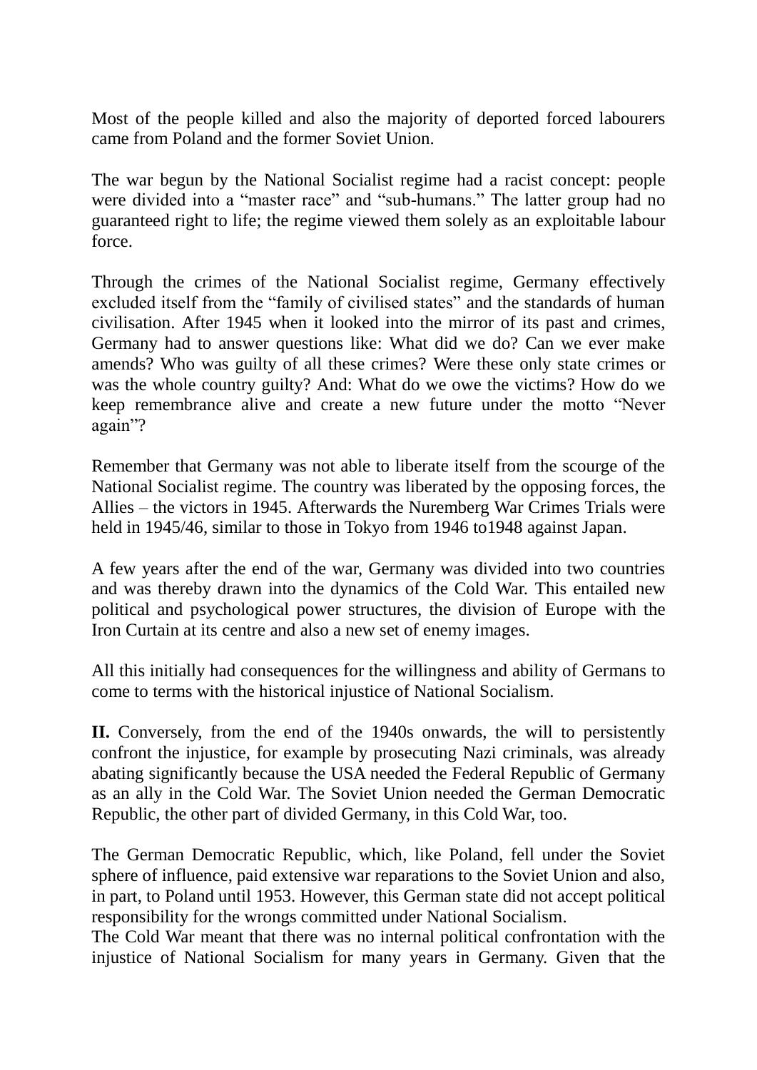Most of the people killed and also the majority of deported forced labourers came from Poland and the former Soviet Union.

The war begun by the National Socialist regime had a racist concept: people were divided into a "master race" and "sub-humans." The latter group had no guaranteed right to life; the regime viewed them solely as an exploitable labour force.

Through the crimes of the National Socialist regime, Germany effectively excluded itself from the "family of civilised states" and the standards of human civilisation. After 1945 when it looked into the mirror of its past and crimes, Germany had to answer questions like: What did we do? Can we ever make amends? Who was guilty of all these crimes? Were these only state crimes or was the whole country guilty? And: What do we owe the victims? How do we keep remembrance alive and create a new future under the motto "Never again"?

Remember that Germany was not able to liberate itself from the scourge of the National Socialist regime. The country was liberated by the opposing forces, the Allies – the victors in 1945. Afterwards the Nuremberg War Crimes Trials were held in 1945/46, similar to those in Tokyo from 1946 to 1948 against Japan.

A few years after the end of the war, Germany was divided into two countries and was thereby drawn into the dynamics of the Cold War. This entailed new political and psychological power structures, the division of Europe with the Iron Curtain at its centre and also a new set of enemy images.

All this initially had consequences for the willingness and ability of Germans to come to terms with the historical injustice of National Socialism.

**II.** Conversely, from the end of the 1940s onwards, the will to persistently confront the injustice, for example by prosecuting Nazi criminals, was already abating significantly because the USA needed the Federal Republic of Germany as an ally in the Cold War. The Soviet Union needed the German Democratic Republic, the other part of divided Germany, in this Cold War, too.

The German Democratic Republic, which, like Poland, fell under the Soviet sphere of influence, paid extensive war reparations to the Soviet Union and also, in part, to Poland until 1953. However, this German state did not accept political responsibility for the wrongs committed under National Socialism.

The Cold War meant that there was no internal political confrontation with the injustice of National Socialism for many years in Germany. Given that the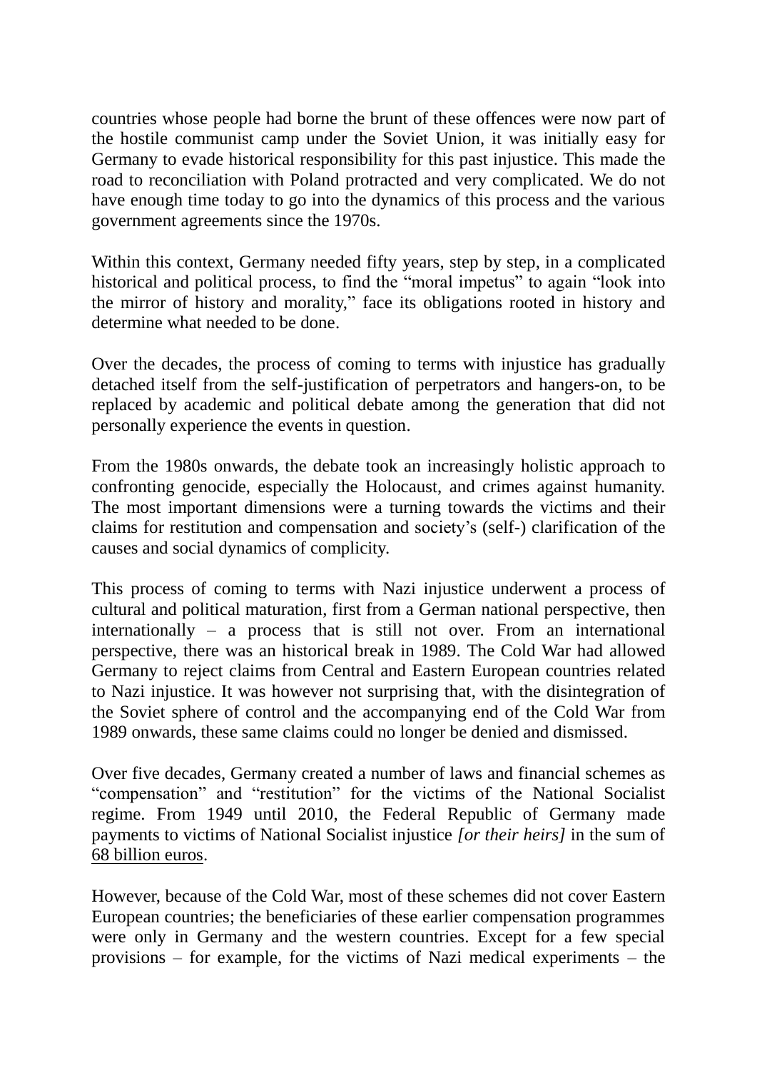countries whose people had borne the brunt of these offences were now part of the hostile communist camp under the Soviet Union, it was initially easy for Germany to evade historical responsibility for this past injustice. This made the road to reconciliation with Poland protracted and very complicated. We do not have enough time today to go into the dynamics of this process and the various government agreements since the 1970s.

Within this context, Germany needed fifty years, step by step, in a complicated historical and political process, to find the "moral impetus" to again "look into the mirror of history and morality," face its obligations rooted in history and determine what needed to be done.

Over the decades, the process of coming to terms with injustice has gradually detached itself from the self-justification of perpetrators and hangers-on, to be replaced by academic and political debate among the generation that did not personally experience the events in question.

From the 1980s onwards, the debate took an increasingly holistic approach to confronting genocide, especially the Holocaust, and crimes against humanity. The most important dimensions were a turning towards the victims and their claims for restitution and compensation and society"s (self-) clarification of the causes and social dynamics of complicity.

This process of coming to terms with Nazi injustice underwent a process of cultural and political maturation, first from a German national perspective, then internationally – a process that is still not over. From an international perspective, there was an historical break in 1989. The Cold War had allowed Germany to reject claims from Central and Eastern European countries related to Nazi injustice. It was however not surprising that, with the disintegration of the Soviet sphere of control and the accompanying end of the Cold War from 1989 onwards, these same claims could no longer be denied and dismissed.

Over five decades, Germany created a number of laws and financial schemes as "compensation" and "restitution" for the victims of the National Socialist regime. From 1949 until 2010, the Federal Republic of Germany made payments to victims of National Socialist injustice *[or their heirs]* in the sum of 68 billion euros.

However, because of the Cold War, most of these schemes did not cover Eastern European countries; the beneficiaries of these earlier compensation programmes were only in Germany and the western countries. Except for a few special provisions – for example, for the victims of Nazi medical experiments – the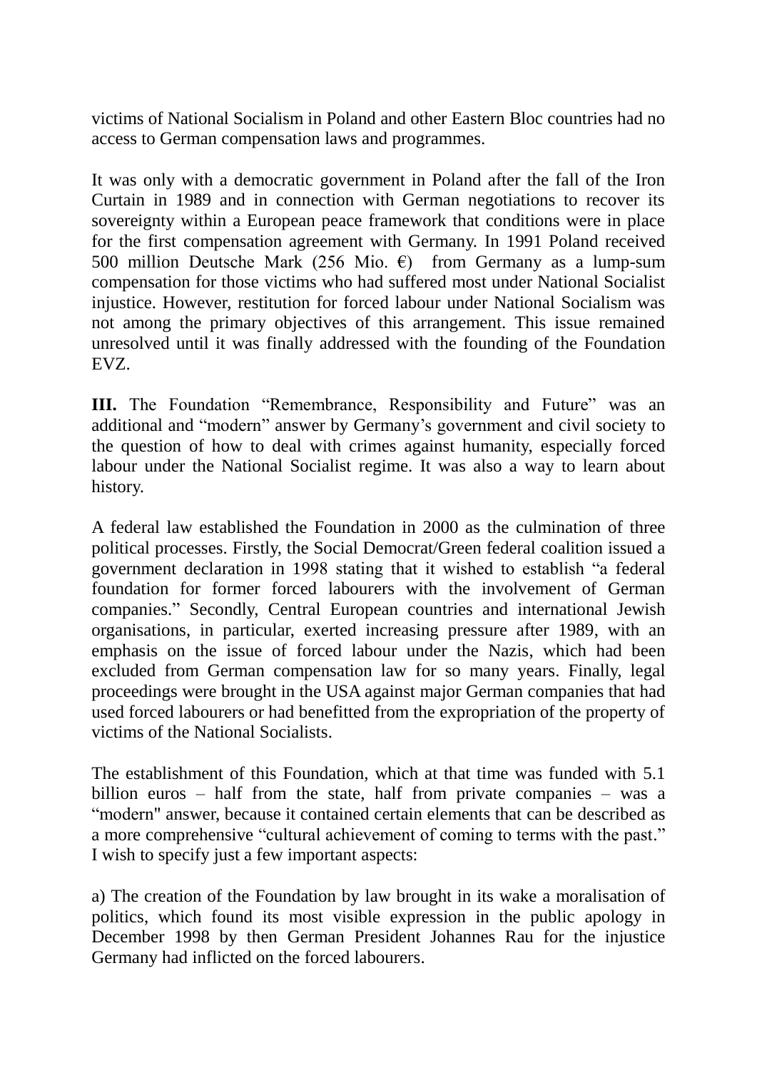victims of National Socialism in Poland and other Eastern Bloc countries had no access to German compensation laws and programmes.

It was only with a democratic government in Poland after the fall of the Iron Curtain in 1989 and in connection with German negotiations to recover its sovereignty within a European peace framework that conditions were in place for the first compensation agreement with Germany. In 1991 Poland received 500 million Deutsche Mark (256 Mio.  $\epsilon$ ) from Germany as a lump-sum compensation for those victims who had suffered most under National Socialist injustice. However, restitution for forced labour under National Socialism was not among the primary objectives of this arrangement. This issue remained unresolved until it was finally addressed with the founding of the Foundation EVZ.

**III.** The Foundation "Remembrance, Responsibility and Future" was an additional and "modern" answer by Germany"s government and civil society to the question of how to deal with crimes against humanity, especially forced labour under the National Socialist regime. It was also a way to learn about history.

A federal law established the Foundation in 2000 as the culmination of three political processes. Firstly, the Social Democrat/Green federal coalition issued a government declaration in 1998 stating that it wished to establish "a federal foundation for former forced labourers with the involvement of German companies." Secondly, Central European countries and international Jewish organisations, in particular, exerted increasing pressure after 1989, with an emphasis on the issue of forced labour under the Nazis, which had been excluded from German compensation law for so many years. Finally, legal proceedings were brought in the USA against major German companies that had used forced labourers or had benefitted from the expropriation of the property of victims of the National Socialists.

The establishment of this Foundation, which at that time was funded with 5.1 billion euros – half from the state, half from private companies – was a "modern" answer, because it contained certain elements that can be described as a more comprehensive "cultural achievement of coming to terms with the past." I wish to specify just a few important aspects:

a) The creation of the Foundation by law brought in its wake a moralisation of politics, which found its most visible expression in the public apology in December 1998 by then German President Johannes Rau for the injustice Germany had inflicted on the forced labourers.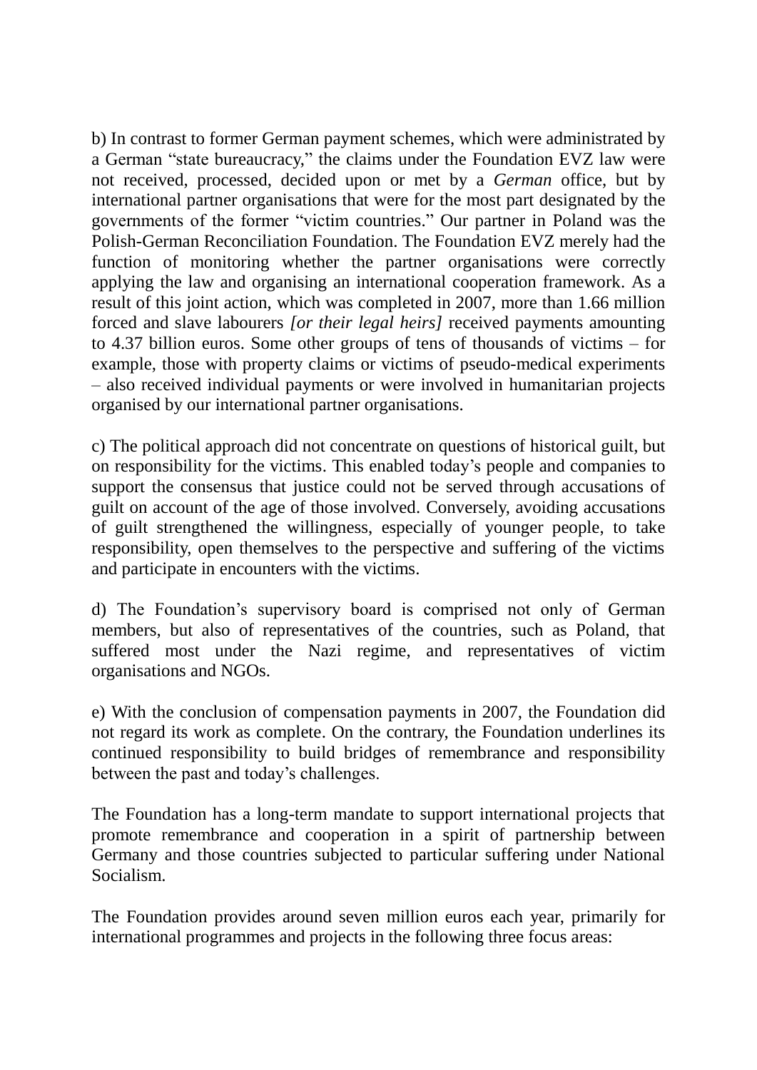b) In contrast to former German payment schemes, which were administrated by a German "state bureaucracy," the claims under the Foundation EVZ law were not received, processed, decided upon or met by a *German* office, but by international partner organisations that were for the most part designated by the governments of the former "victim countries." Our partner in Poland was the Polish-German Reconciliation Foundation. The Foundation EVZ merely had the function of monitoring whether the partner organisations were correctly applying the law and organising an international cooperation framework. As a result of this joint action, which was completed in 2007, more than 1.66 million forced and slave labourers *[or their legal heirs]* received payments amounting to 4.37 billion euros. Some other groups of tens of thousands of victims – for example, those with property claims or victims of pseudo-medical experiments – also received individual payments or were involved in humanitarian projects organised by our international partner organisations.

c) The political approach did not concentrate on questions of historical guilt, but on responsibility for the victims. This enabled today"s people and companies to support the consensus that justice could not be served through accusations of guilt on account of the age of those involved. Conversely, avoiding accusations of guilt strengthened the willingness, especially of younger people, to take responsibility, open themselves to the perspective and suffering of the victims and participate in encounters with the victims.

d) The Foundation"s supervisory board is comprised not only of German members, but also of representatives of the countries, such as Poland, that suffered most under the Nazi regime, and representatives of victim organisations and NGOs.

e) With the conclusion of compensation payments in 2007, the Foundation did not regard its work as complete. On the contrary, the Foundation underlines its continued responsibility to build bridges of remembrance and responsibility between the past and today"s challenges.

The Foundation has a long-term mandate to support international projects that promote remembrance and cooperation in a spirit of partnership between Germany and those countries subjected to particular suffering under National Socialism.

The Foundation provides around seven million euros each year, primarily for international programmes and projects in the following three focus areas: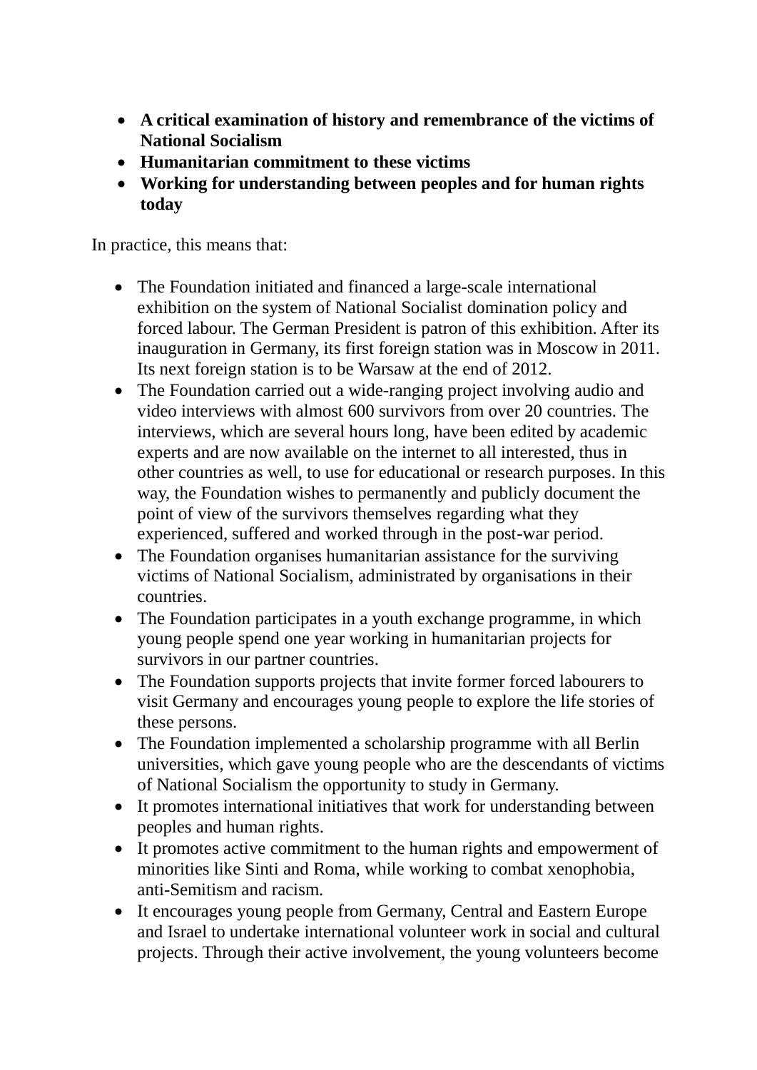- **A critical examination of history and remembrance of the victims of National Socialism**
- **Humanitarian commitment to these victims**
- **Working for understanding between peoples and for human rights today**

In practice, this means that:

- The Foundation initiated and financed a large-scale international exhibition on the system of National Socialist domination policy and forced labour. The German President is patron of this exhibition. After its inauguration in Germany, its first foreign station was in Moscow in 2011. Its next foreign station is to be Warsaw at the end of 2012.
- The Foundation carried out a wide-ranging project involving audio and video interviews with almost 600 survivors from over 20 countries. The interviews, which are several hours long, have been edited by academic experts and are now available on the internet to all interested, thus in other countries as well, to use for educational or research purposes. In this way, the Foundation wishes to permanently and publicly document the point of view of the survivors themselves regarding what they experienced, suffered and worked through in the post-war period.
- The Foundation organises humanitarian assistance for the surviving victims of National Socialism, administrated by organisations in their countries.
- The Foundation participates in a youth exchange programme, in which young people spend one year working in humanitarian projects for survivors in our partner countries.
- The Foundation supports projects that invite former forced labourers to visit Germany and encourages young people to explore the life stories of these persons.
- The Foundation implemented a scholarship programme with all Berlin universities, which gave young people who are the descendants of victims of National Socialism the opportunity to study in Germany.
- It promotes international initiatives that work for understanding between peoples and human rights.
- It promotes active commitment to the human rights and empowerment of minorities like Sinti and Roma, while working to combat xenophobia, anti-Semitism and racism.
- It encourages young people from Germany, Central and Eastern Europe and Israel to undertake international volunteer work in social and cultural projects. Through their active involvement, the young volunteers become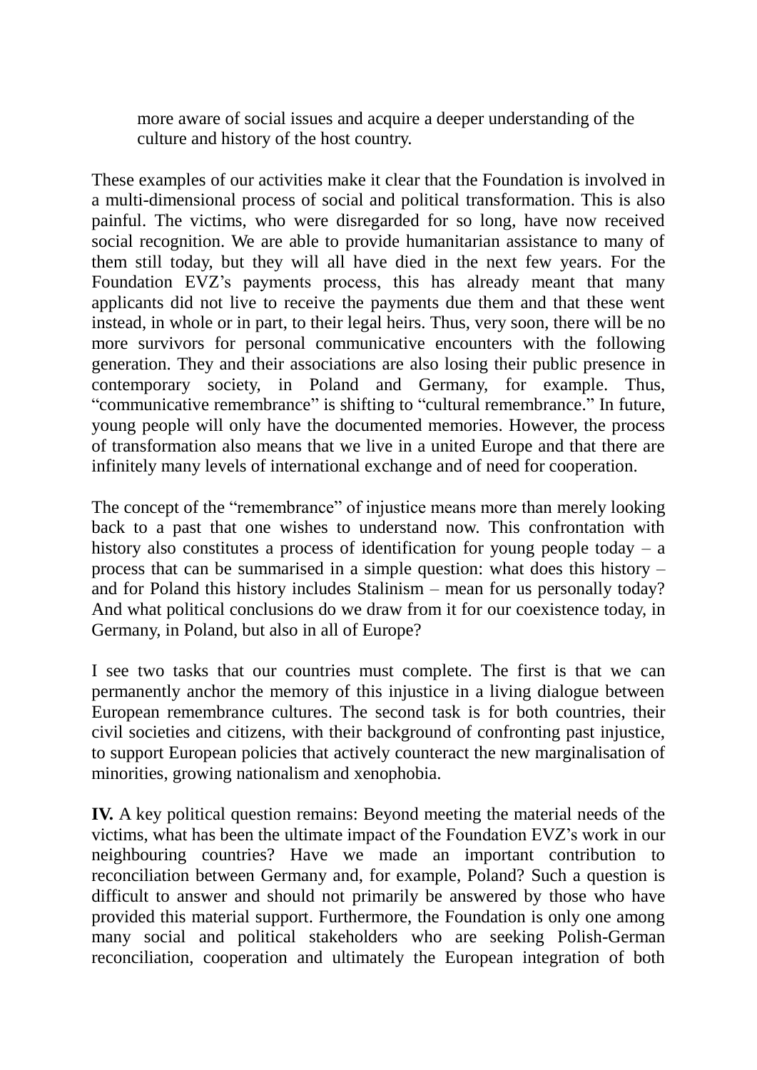more aware of social issues and acquire a deeper understanding of the culture and history of the host country.

These examples of our activities make it clear that the Foundation is involved in a multi-dimensional process of social and political transformation. This is also painful. The victims, who were disregarded for so long, have now received social recognition. We are able to provide humanitarian assistance to many of them still today, but they will all have died in the next few years. For the Foundation EVZ"s payments process, this has already meant that many applicants did not live to receive the payments due them and that these went instead, in whole or in part, to their legal heirs. Thus, very soon, there will be no more survivors for personal communicative encounters with the following generation. They and their associations are also losing their public presence in contemporary society, in Poland and Germany, for example. Thus, "communicative remembrance" is shifting to "cultural remembrance." In future, young people will only have the documented memories. However, the process of transformation also means that we live in a united Europe and that there are infinitely many levels of international exchange and of need for cooperation.

The concept of the "remembrance" of injustice means more than merely looking back to a past that one wishes to understand now. This confrontation with history also constitutes a process of identification for young people today – a process that can be summarised in a simple question: what does this history – and for Poland this history includes Stalinism – mean for us personally today? And what political conclusions do we draw from it for our coexistence today, in Germany, in Poland, but also in all of Europe?

I see two tasks that our countries must complete. The first is that we can permanently anchor the memory of this injustice in a living dialogue between European remembrance cultures. The second task is for both countries, their civil societies and citizens, with their background of confronting past injustice, to support European policies that actively counteract the new marginalisation of minorities, growing nationalism and xenophobia.

**IV.** A key political question remains: Beyond meeting the material needs of the victims, what has been the ultimate impact of the Foundation EVZ"s work in our neighbouring countries? Have we made an important contribution to reconciliation between Germany and, for example, Poland? Such a question is difficult to answer and should not primarily be answered by those who have provided this material support. Furthermore, the Foundation is only one among many social and political stakeholders who are seeking Polish-German reconciliation, cooperation and ultimately the European integration of both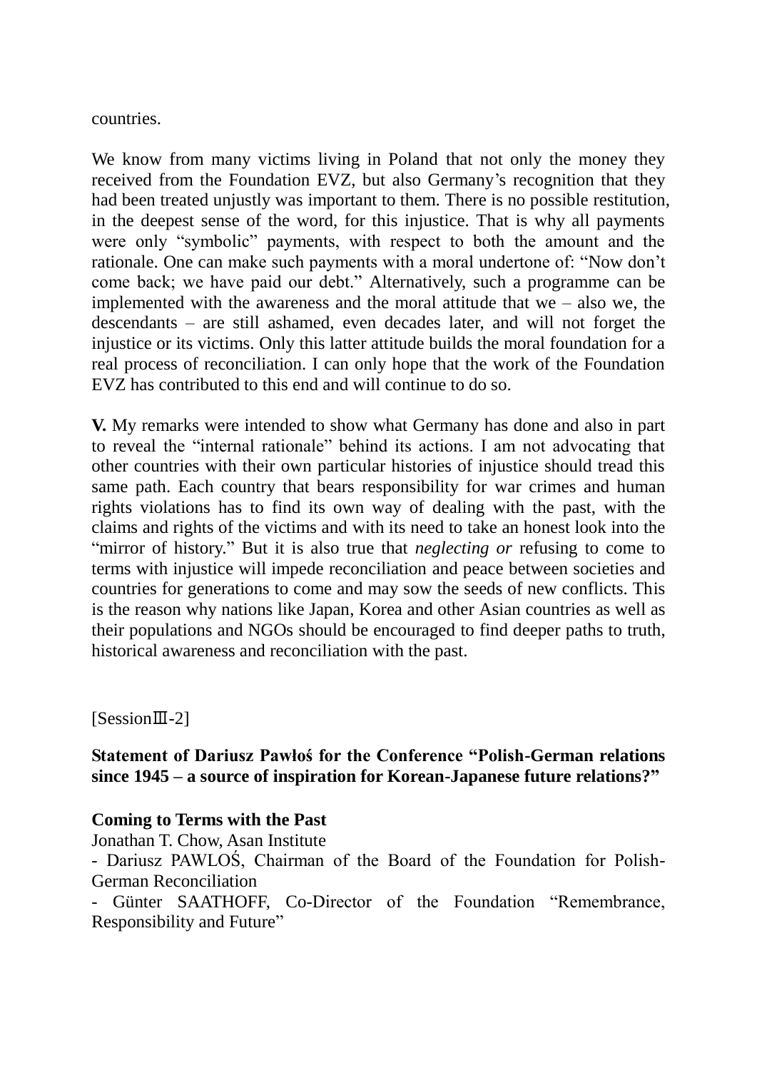countries.

We know from many victims living in Poland that not only the money they received from the Foundation EVZ, but also Germany's recognition that they had been treated unjustly was important to them. There is no possible restitution, in the deepest sense of the word, for this injustice. That is why all payments were only "symbolic" payments, with respect to both the amount and the rationale. One can make such payments with a moral undertone of: "Now don"t come back; we have paid our debt." Alternatively, such a programme can be implemented with the awareness and the moral attitude that  $we - also we$ , the descendants – are still ashamed, even decades later, and will not forget the injustice or its victims. Only this latter attitude builds the moral foundation for a real process of reconciliation. I can only hope that the work of the Foundation EVZ has contributed to this end and will continue to do so.

**V.** My remarks were intended to show what Germany has done and also in part to reveal the "internal rationale" behind its actions. I am not advocating that other countries with their own particular histories of injustice should tread this same path. Each country that bears responsibility for war crimes and human rights violations has to find its own way of dealing with the past, with the claims and rights of the victims and with its need to take an honest look into the "mirror of history." But it is also true that *neglecting or* refusing to come to terms with injustice will impede reconciliation and peace between societies and countries for generations to come and may sow the seeds of new conflicts. This is the reason why nations like Japan, Korea and other Asian countries as well as their populations and NGOs should be encouraged to find deeper paths to truth, historical awareness and reconciliation with the past.

[SessionⅢ-2]

# **Statement of Dariusz Pawłoś for the Conference "Polish-German relations since 1945 – a source of inspiration for Korean-Japanese future relations?"**

# **Coming to Terms with the Past**

Jonathan T. Chow, Asan Institute

- Dariusz PAWLOŚ, Chairman of the Board of the Foundation for Polish-German Reconciliation

- Günter SAATHOFF, Co-Director of the Foundation "Remembrance, Responsibility and Future"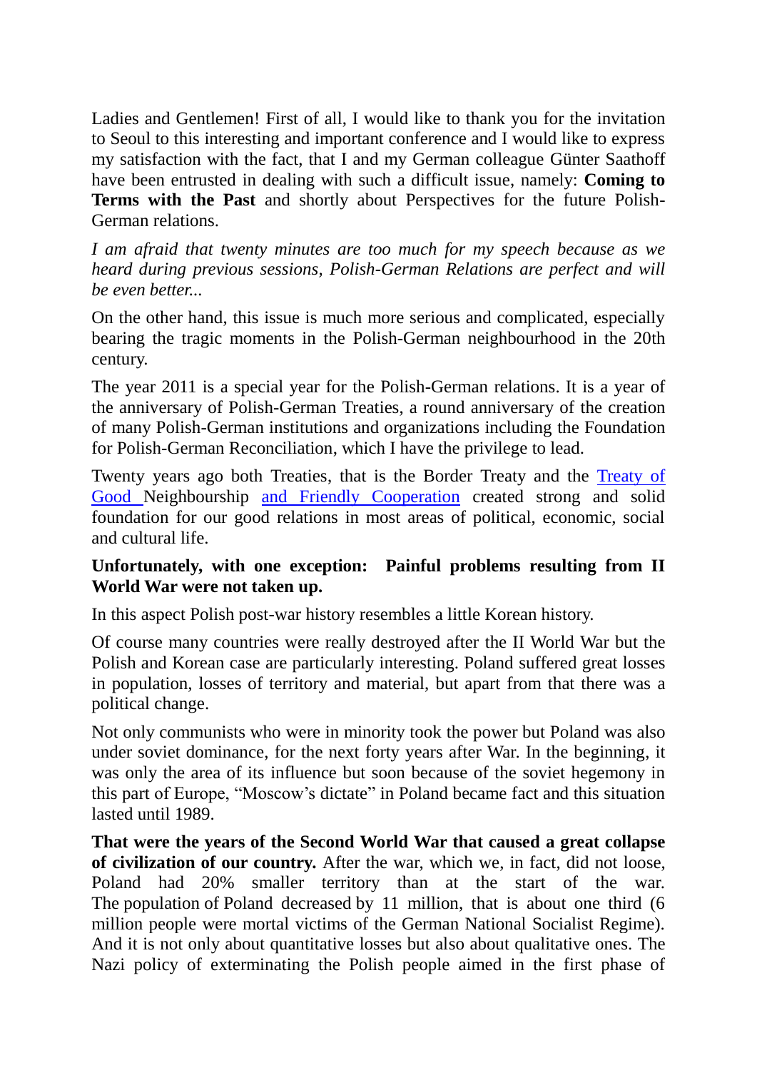Ladies and Gentlemen! First of all, I would like to thank you for the invitation to Seoul to this interesting and important conference and I would like to express my satisfaction with the fact, that I and my German colleague Günter Saathoff have been entrusted in dealing with such a difficult issue, namely: **Coming to Terms with the Past** and shortly about Perspectives for the future Polish-German relations.

*I am afraid that twenty minutes are too much for my speech because as we heard during previous sessions, Polish-German Relations are perfect and will be even better...*

On the other hand, this issue is much more serious and complicated, especially bearing the tragic moments in the Polish-German neighbourhood in the 20th century.

The year 2011 is a special year for the Polish-German relations. It is a year of the anniversary of Polish-German Treaties, a round anniversary of the creation of many Polish-German institutions and organizations including the Foundation for Polish-German Reconciliation, which I have the privilege to lead.

Twenty years ago both Treaties, that is the Border Treaty and the [Treaty of](http://en.wikipedia.org/wiki/Treaty_of_Good_Neighbourship) Good Neighbourship [and Friendly Cooperation](http://en.wikipedia.org/wiki/Treaty_of_Good_Neighbourship) created strong and solid foundation for our good relations in most areas of political, economic, social and cultural life.

# **Unfortunately, with one exception: Painful problems resulting from II World War were not taken up.**

In this aspect Polish post-war history resembles a little Korean history.

Of course many countries were really destroyed after the II World War but the Polish and Korean case are particularly interesting. Poland suffered great losses in population, losses of territory and material, but apart from that there was a political change.

Not only communists who were in minority took the power but Poland was also under soviet dominance, for the next forty years after War. In the beginning, it was only the area of its influence but soon because of the soviet hegemony in this part of Europe, "Moscow"s dictate" in Poland became fact and this situation lasted until 1989.

**That were the years of the Second World War that caused a great collapse of civilization of our country.** After the war, which we, in fact, did not loose, Poland had 20% smaller territory than at the start of the war. The population of Poland decreased by 11 million, that is about one third (6 million people were mortal victims of the German National Socialist Regime). And it is not only about quantitative losses but also about qualitative ones. The Nazi policy of exterminating the Polish people aimed in the first phase of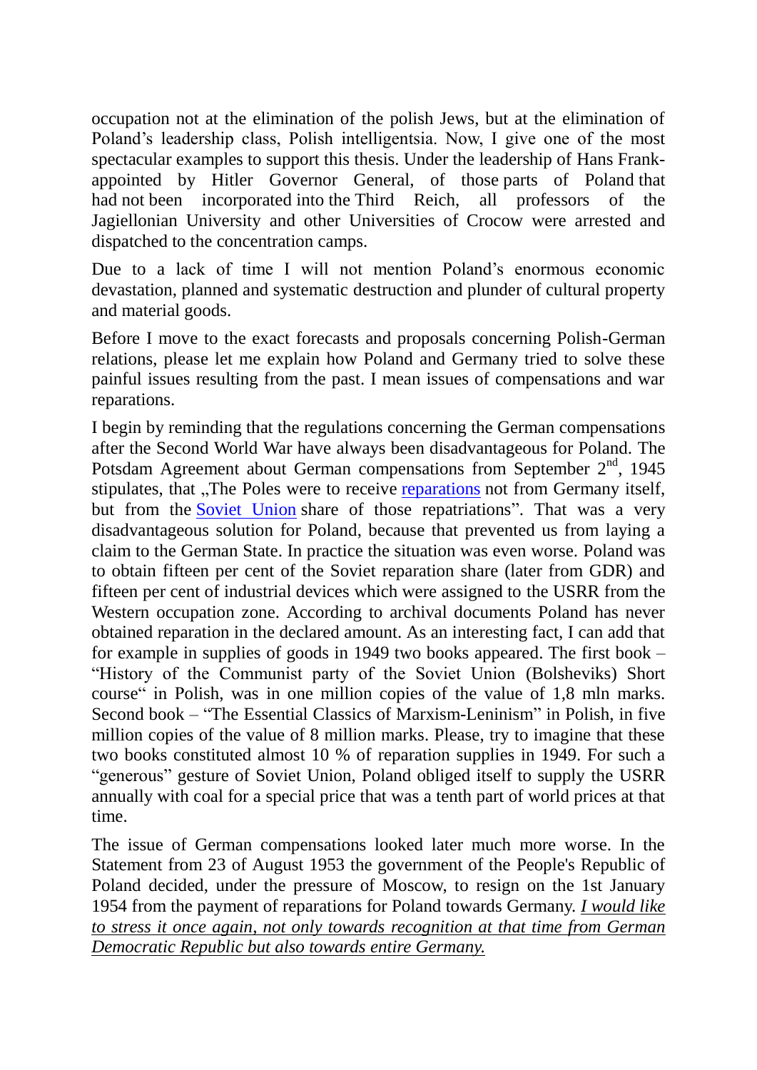occupation not at the elimination of the polish Jews, but at the elimination of Poland"s leadership class, Polish intelligentsia. Now, I give one of the most spectacular examples to support this thesis. Under the leadership of Hans Frankappointed by Hitler Governor General, of those parts of Poland that had not been incorporated into the Third Reich, all professors of the Jagiellonian University and other Universities of Crocow were arrested and dispatched to the concentration camps.

Due to a lack of time I will not mention Poland"s enormous economic devastation, planned and systematic destruction and plunder of cultural property and material goods.

Before I move to the exact forecasts and proposals concerning Polish-German relations, please let me explain how Poland and Germany tried to solve these painful issues resulting from the past. I mean issues of compensations and war reparations.

I begin by reminding that the regulations concerning the German compensations after the Second World War have always been disadvantageous for Poland. The Potsdam Agreement about German compensations from September 2<sup>nd</sup>, 1945 stipulates, that ..The Poles were to receive [reparations](http://en.wikipedia.org/wiki/War_reparations) not from Germany itself, but from the [Soviet Union](http://en.wikipedia.org/wiki/Soviet_Union) share of those repatriations". That was a very disadvantageous solution for Poland, because that prevented us from laying a claim to the German State. In practice the situation was even worse. Poland was to obtain fifteen per cent of the Soviet reparation share (later from GDR) and fifteen per cent of industrial devices which were assigned to the USRR from the Western occupation zone. According to archival documents Poland has never obtained reparation in the declared amount. As an interesting fact, I can add that for example in supplies of goods in 1949 two books appeared. The first book – "History of the Communist party of the Soviet Union (Bolsheviks) Short course" in Polish, was in one million copies of the value of 1,8 mln marks. Second book – "The Essential Classics of Marxism-Leninism" in Polish, in five million copies of the value of 8 million marks. Please, try to imagine that these two books constituted almost 10 % of reparation supplies in 1949. For such a "generous" gesture of Soviet Union, Poland obliged itself to supply the USRR annually with coal for a special price that was a tenth part of world prices at that time.

The issue of German compensations looked later much more worse. In the Statement from 23 of August 1953 the government of the People's Republic of Poland decided, under the pressure of Moscow, to resign on the 1st January 1954 from the payment of reparations for Poland towards Germany. *I would like to stress it once again, not only towards recognition at that time from German Democratic Republic but also towards entire Germany.*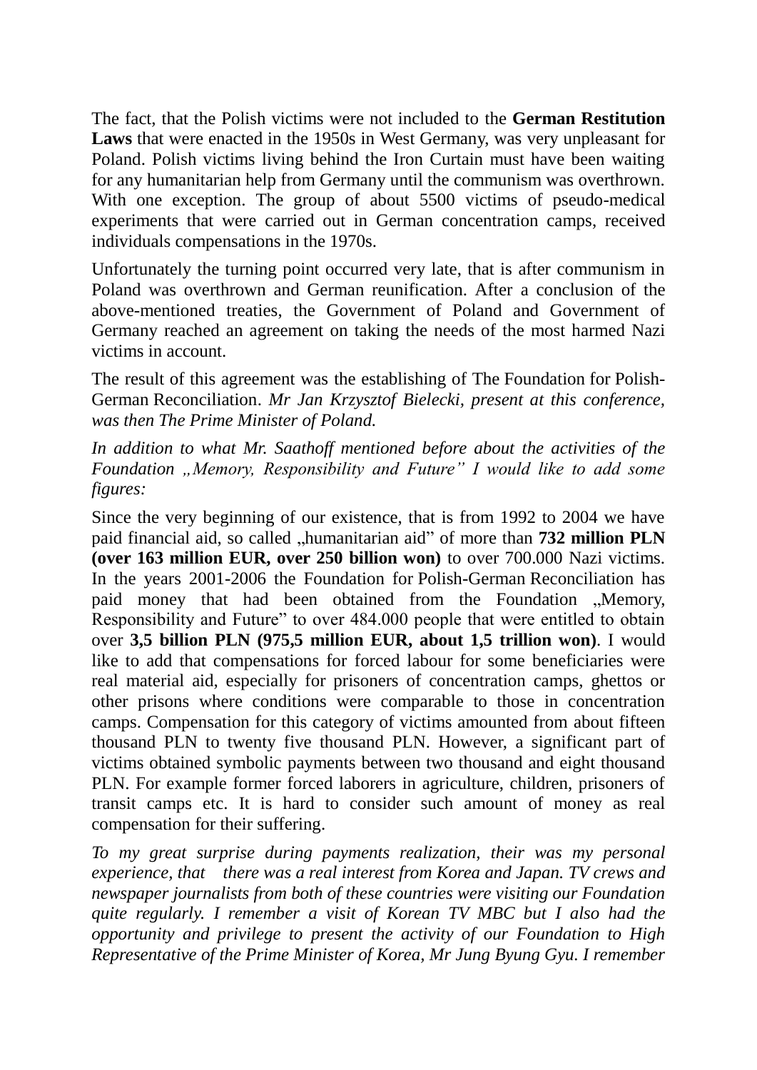The fact, that the Polish victims were not included to the **German Restitution Laws** that were enacted in the 1950s in West Germany, was very unpleasant for Poland. Polish victims living behind the Iron Curtain must have been waiting for any humanitarian help from Germany until the communism was overthrown. With one exception. The group of about 5500 victims of pseudo-medical experiments that were carried out in German concentration camps, received individuals compensations in the 1970s.

Unfortunately the turning point occurred very late, that is after communism in Poland was overthrown and German reunification. After a conclusion of the above-mentioned treaties, the Government of Poland and Government of Germany reached an agreement on taking the needs of the most harmed Nazi victims in account.

The result of this agreement was the establishing of The Foundation for Polish-German Reconciliation. *Mr Jan Krzysztof Bielecki, present at this conference, was then The Prime Minister of Poland.*

*In addition to what Mr. Saathoff mentioned before about the activities of the Foundation "Memory, Responsibility and Future" I would like to add some figures:*

Since the very beginning of our existence, that is from 1992 to 2004 we have paid financial aid, so called ...humanitarian aid" of more than **732 million PLN (over 163 million EUR, over 250 billion won)** to over 700.000 Nazi victims. In the years 2001-2006 the Foundation for Polish-German Reconciliation has paid money that had been obtained from the Foundation "Memory, Responsibility and Future" to over 484.000 people that were entitled to obtain over **3,5 billion PLN (975,5 million EUR, about 1,5 trillion won)**. I would like to add that compensations for forced labour for some beneficiaries were real material aid, especially for prisoners of concentration camps, ghettos or other prisons where conditions were comparable to those in concentration camps. Compensation for this category of victims amounted from about fifteen thousand PLN to twenty five thousand PLN. However, a significant part of victims obtained symbolic payments between two thousand and eight thousand PLN. For example former forced laborers in agriculture, children, prisoners of transit camps etc. It is hard to consider such amount of money as real compensation for their suffering.

*To my great surprise during payments realization, their was my personal experience, that there was a real interest from Korea and Japan. TV crews and newspaper journalists from both of these countries were visiting our Foundation quite regularly. I remember a visit of Korean TV MBC but I also had the opportunity and privilege to present the activity of our Foundation to High Representative of the Prime Minister of Korea, Mr Jung Byung Gyu. I remember*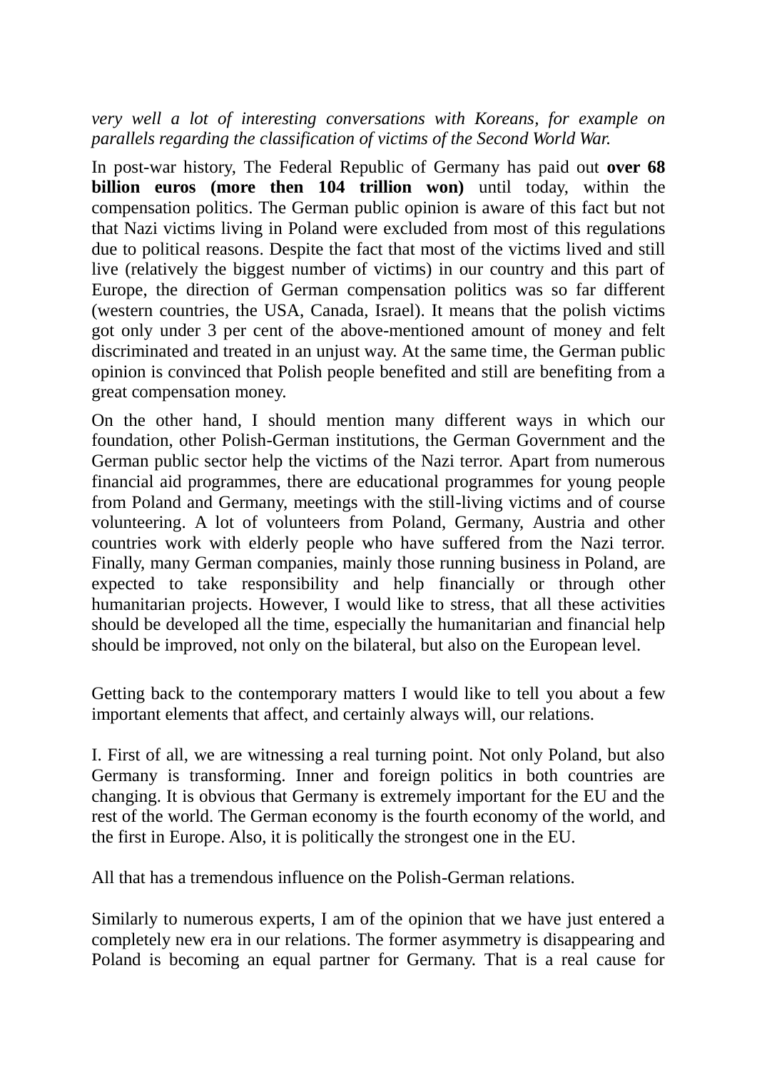*very well a lot of interesting conversations with Koreans, for example on parallels regarding the classification of victims of the Second World War.*

In post-war history, The Federal Republic of Germany has paid out **over 68 billion euros (more then 104 trillion won)** until today, within the compensation politics. The German public opinion is aware of this fact but not that Nazi victims living in Poland were excluded from most of this regulations due to political reasons. Despite the fact that most of the victims lived and still live (relatively the biggest number of victims) in our country and this part of Europe, the direction of German compensation politics was so far different (western countries, the USA, Canada, Israel). It means that the polish victims got only under 3 per cent of the above-mentioned amount of money and felt discriminated and treated in an unjust way. At the same time, the German public opinion is convinced that Polish people benefited and still are benefiting from a great compensation money.

On the other hand, I should mention many different ways in which our foundation, other Polish-German institutions, the German Government and the German public sector help the victims of the Nazi terror. Apart from numerous financial aid programmes, there are educational programmes for young people from Poland and Germany, meetings with the still-living victims and of course volunteering. A lot of volunteers from Poland, Germany, Austria and other countries work with elderly people who have suffered from the Nazi terror. Finally, many German companies, mainly those running business in Poland, are expected to take responsibility and help financially or through other humanitarian projects. However, I would like to stress, that all these activities should be developed all the time, especially the humanitarian and financial help should be improved, not only on the bilateral, but also on the European level.

Getting back to the contemporary matters I would like to tell you about a few important elements that affect, and certainly always will, our relations.

I. First of all, we are witnessing a real turning point. Not only Poland, but also Germany is transforming. Inner and foreign politics in both countries are changing. It is obvious that Germany is extremely important for the EU and the rest of the world. The German economy is the fourth economy of the world, and the first in Europe. Also, it is politically the strongest one in the EU.

All that has a tremendous influence on the Polish-German relations.

Similarly to numerous experts, I am of the opinion that we have just entered a completely new era in our relations. The former asymmetry is disappearing and Poland is becoming an equal partner for Germany. That is a real cause for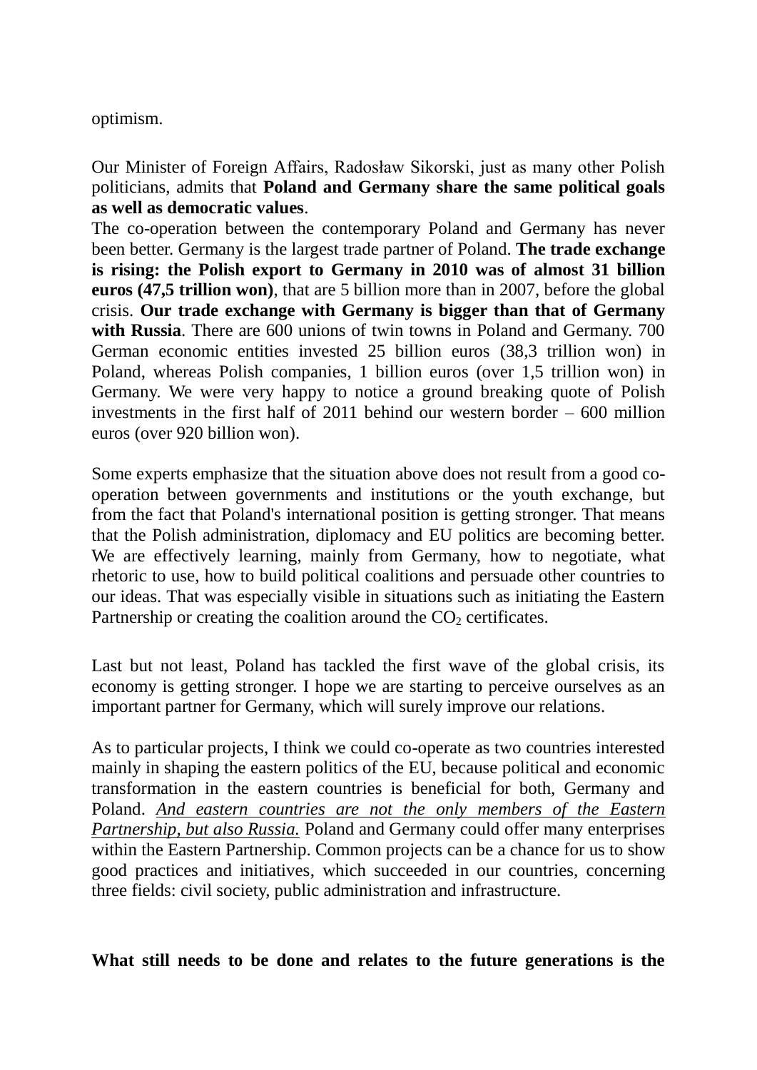## optimism.

Our Minister of Foreign Affairs, Radosław Sikorski, just as many other Polish politicians, admits that **Poland and Germany share the same political goals as well as democratic values**.

The co-operation between the contemporary Poland and Germany has never been better. Germany is the largest trade partner of Poland. **The trade exchange is rising: the Polish export to Germany in 2010 was of almost 31 billion euros (47,5 trillion won)**, that are 5 billion more than in 2007, before the global crisis. **Our trade exchange with Germany is bigger than that of Germany**  with Russia. There are 600 unions of twin towns in Poland and Germany. 700 German economic entities invested 25 billion euros (38,3 trillion won) in Poland, whereas Polish companies, 1 billion euros (over 1,5 trillion won) in Germany. We were very happy to notice a ground breaking quote of Polish investments in the first half of 2011 behind our western border  $-600$  million euros (over 920 billion won).

Some experts emphasize that the situation above does not result from a good cooperation between governments and institutions or the youth exchange, but from the fact that Poland's international position is getting stronger. That means that the Polish administration, diplomacy and EU politics are becoming better. We are effectively learning, mainly from Germany, how to negotiate, what rhetoric to use, how to build political coalitions and persuade other countries to our ideas. That was especially visible in situations such as initiating the Eastern Partnership or creating the coalition around the  $CO<sub>2</sub>$  certificates.

Last but not least, Poland has tackled the first wave of the global crisis, its economy is getting stronger. I hope we are starting to perceive ourselves as an important partner for Germany, which will surely improve our relations.

As to particular projects, I think we could co-operate as two countries interested mainly in shaping the eastern politics of the EU, because political and economic transformation in the eastern countries is beneficial for both, Germany and Poland. *And eastern countries are not the only members of the Eastern Partnership, but also Russia.* Poland and Germany could offer many enterprises within the Eastern Partnership. Common projects can be a chance for us to show good practices and initiatives, which succeeded in our countries, concerning three fields: civil society, public administration and infrastructure.

**What still needs to be done and relates to the future generations is the**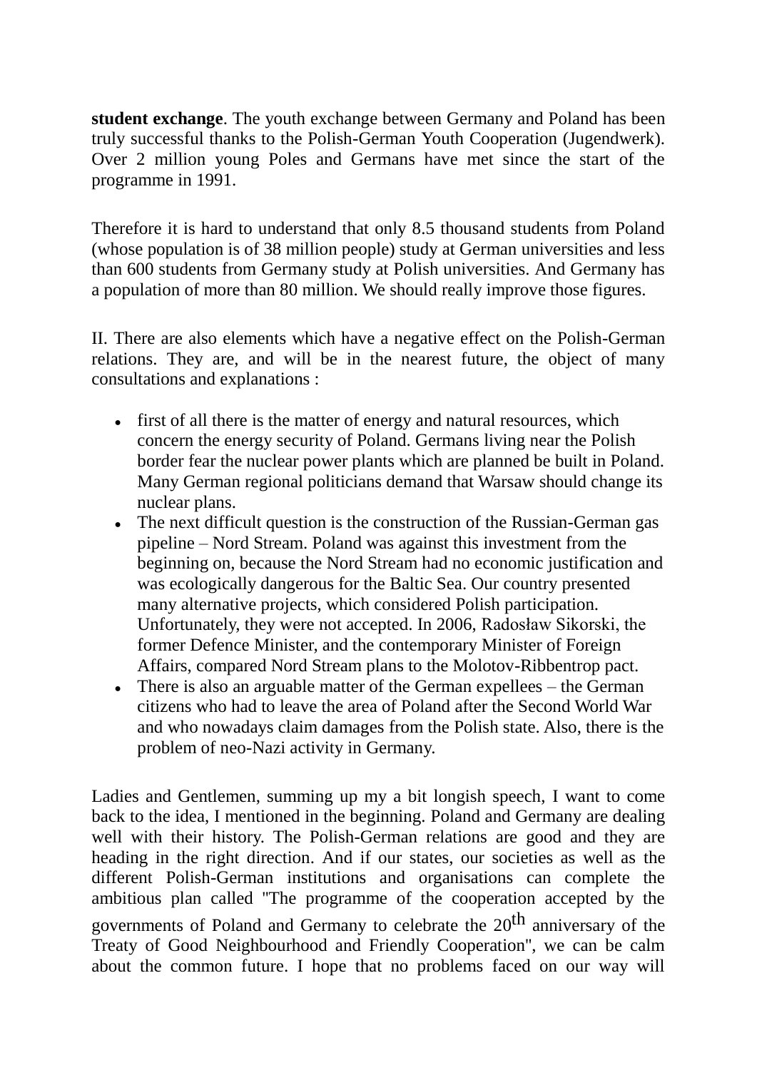**student exchange**. The youth exchange between Germany and Poland has been truly successful thanks to the Polish-German Youth Cooperation (Jugendwerk). Over 2 million young Poles and Germans have met since the start of the programme in 1991.

Therefore it is hard to understand that only 8.5 thousand students from Poland (whose population is of 38 million people) study at German universities and less than 600 students from Germany study at Polish universities. And Germany has a population of more than 80 million. We should really improve those figures.

II. There are also elements which have a negative effect on the Polish-German relations. They are, and will be in the nearest future, the object of many consultations and explanations :

- first of all there is the matter of energy and natural resources, which concern the energy security of Poland. Germans living near the Polish border fear the nuclear power plants which are planned be built in Poland. Many German regional politicians demand that Warsaw should change its nuclear plans.
- The next difficult question is the construction of the Russian-German gas pipeline – Nord Stream. Poland was against this investment from the beginning on, because the Nord Stream had no economic justification and was ecologically dangerous for the Baltic Sea. Our country presented many alternative projects, which considered Polish participation. Unfortunately, they were not accepted. In 2006, Radosław Sikorski, the former Defence Minister, and the contemporary Minister of Foreign Affairs, compared Nord Stream plans to the Molotov-Ribbentrop pact.
- There is also an arguable matter of the German expellees  $-$  the German citizens who had to leave the area of Poland after the Second World War and who nowadays claim damages from the Polish state. Also, there is the problem of neo-Nazi activity in Germany.

Ladies and Gentlemen, summing up my a bit longish speech, I want to come back to the idea, I mentioned in the beginning. Poland and Germany are dealing well with their history. The Polish-German relations are good and they are heading in the right direction. And if our states, our societies as well as the different Polish-German institutions and organisations can complete the ambitious plan called ''The programme of the cooperation accepted by the governments of Poland and Germany to celebrate the 20<sup>th</sup> anniversary of the Treaty of Good Neighbourhood and Friendly Cooperation'', we can be calm about the common future. I hope that no problems faced on our way will